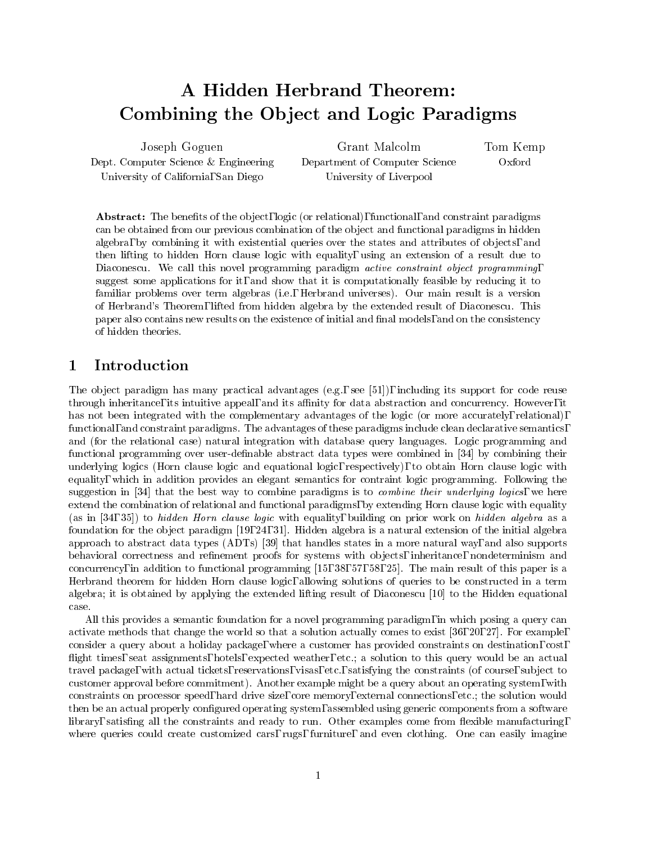# A Hidden Herbrand Theorem: Combining the Object and Logic Paradigms

Joseph Goguen Dept. Computer Science & Engineering University of California, San Diego

Grant MalcolmDepartment of Computer Science University of Liverpool

Tom *Tremp* Oxford

Abstract: The benefits of the object, logic (or relational), functional, and constraint paradigms can be obtained from our previous combination of the ob ject and functional paradigms in hidden algebra, by combining it with existential queries over the states and attributes of objects, and then lifting to hidden Horn clause logic with equality, using an extension of a result due to Diaconescu. We call this novel programming paradigm active constraint object programming, suggest some applications for it, and show that it is computationally feasible by reducing it to familiar problems over term algebras (i.e., Herbrand universes). Our main result is a version of Herbrand's Theorem, lifted from hidden algebra by the extended result of Diaconescu. This paper also contains new results on the existence of initial and final models, and on the consistency of hidden theories.

#### $\mathbf{1}$ 1 Introduction

The object paradigm has many practical advantages (e.g., see [51]), including its support for code reuse through inheritance, its intuitive appeal, and its affinity for data abstraction and concurrency. However, it has not been integrated with the complementary advantages of the logic (or more accurately, relational), functional, and constraint paradigms. The advantages of these paradigms include clean declarative semantics, and (for the relational case) natural integration with database query languages. Logic programming and functional programming over user-definable abstract data types were combined in [34] by combining their underlying logics (Horn clause logic and equational logic, respectively), to obtain Horn clause logic with equality, which in addition provides an elegant semantics for contraint logic programming. Following the suggestion in [34] that the best way to combine paradigms is to *combine their underlying logics*, we here extend the combination of relational and functional paradigms, by extending Horn clause logic with equality (as in [34, 35]) to hidden Horn clause logic with equality, building on prior work on hidden algebra as a foundation for the ob ject paradigm [19, 24, 31]. Hidden algebra is a natural extension of the initial algebra approach to abstract data types (ADTs) [39] that handles states in a more natural way, and also supports behavioral correctness and refinement proofs for systems with objects, inheritance, nondeterminism and concurrency, in addition to functional programming [15, 38, 57, 58, 25]. The main result of this paper is a Herbrand theorem for hidden Horn clause logic, allowing solutions of queries to be constructed in a term algebra; it is obtained by applying the extended lifting result of Diaconescu [10] to the Hidden equational case.

All this provides a semantic foundation for a novel programming paradigm, in which posing a query can activate methods that change the world so that a solution actually comes to exist [36, 20, 27]. For example, consider a query about a holiday package, where a customer has provided constraints on destination, cost, flight times, seat assignments, hotels, expected weather, etc.; a solution to this query would be an actual travel package, with actual tickets, reservations, visas, etc., satisfying the constraints (of course, sub ject to customer approval before commitment). Another example might be a query about an operating system, with constraints on processor speed, hard drive size, core memory, external connections, etc.; the solution would then be an actual properly configured operating system, assembled using generic components from a software library, satisfing all the constraints and ready to run. Other examples come from flexible manufacturing, where queries could create customized cars, rugs, furniture, and even clothing. One can easily imagine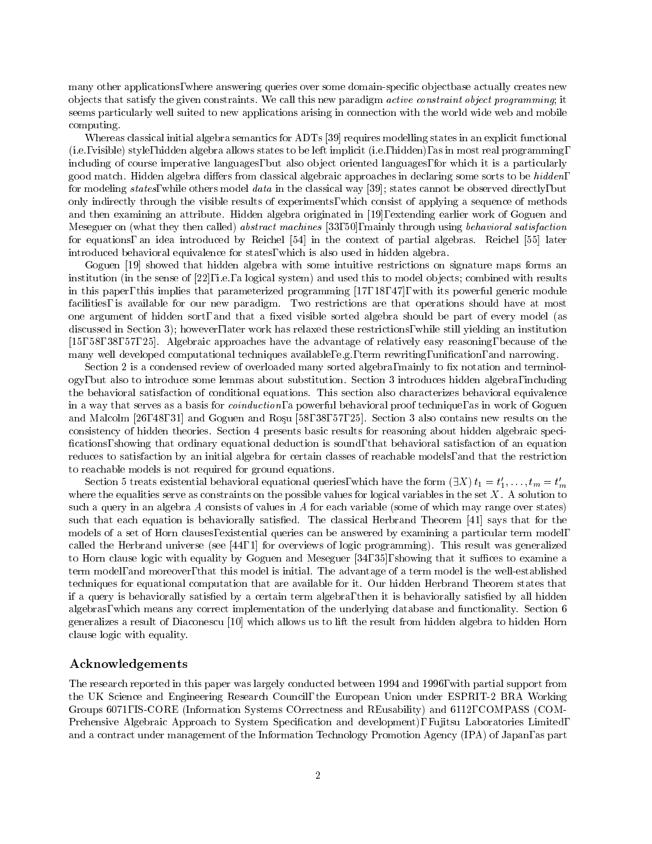many other applications, where answering queries over some domain-specific objectbase actually creates new ob jects that satisfy the given constraints. We call this new paradigm active constraint object programming; it seems particularly well suited to new applications arising in connection with the world wide web and mobile computing.

Whereas classical initial algebra semantics for ADTs [39] requires modelling states in an explicit functional (i.e., visible) style, hidden algebra allows states to be left implicit (i.e., hidden), as in most real programming, including of course imperative languages, but also object oriented languages, for which it is a particularly good match. Hidden algebra differs from classical algebraic approaches in declaring some sorts to be hidden, for modeling states, while others model data in the classical way [39]; states cannot be observed directly, but only indirectly through the visible results of experiments, which consist of applying a sequence of methods and then examining an attribute. Hidden algebra originated in [19], extending earlier work of Goguen and Meseguer on (what they then called) abstract machines [33, 50], mainly through using behavioral satisfaction for equations, an idea introduced by Reichel [54] in the context of partial algebras. Reichel [55] later introduced behavioral equivalence for states, which is also used in hidden algebra.

Goguen [19] showed that hidden algebra with some intuitive restrictions on signature maps forms an institution (in the sense of [22], i.e., a logical system) and used this to model ob jects; combined with results in this paper, this implies that parameterized programming [17, 18, 47], with its powerful generic module facilities, is available for our new paradigm. Two restrictions are that operations should have at most one argument of hidden sort, and that a fixed visible sorted algebra should be part of every model (as discussed in Section 3); however, later work has relaxed these restrictions, while still yielding an institution [15, 58, 38, 57, 25]. Algebraic approaches have the advantage of relatively easy reasoning, because of the many well developed computational techniques available, e.g., term rewriting, unication, and narrowing.

Section 2 is a condensed review of overloaded many sorted algebra, mainly to fix notation and terminology, but also to introduce some lemmas about substitution. Section 3 introduces hidden algebra, including the behavioral satisfaction of conditional equations. This section also characterizes behavioral equivalence in a way that serves as a basis for *coinduction*, a powerful behavioral proof technique, as in work of Goguen and Malcolm [26, 48, 31] and Goguen and Rosu [58, 38, 57, 25]. Section 3 also contains new results on the consistency of hidden theories. Section 4 presents basic results for reasoning about hidden algebraic speci fications, showing that ordinary equational deduction is sound, that behavioral satisfaction of an equation reduces to satisfaction by an initial algebra for certain classes of reachable models, and that the restriction to reachable models is not required for ground equations.

Section 5 treats existential behavioral equational queries, which have the form  $(\exists X)$   $t_1 = t_1, \ldots, t_m = t_m$  $\mathbf{m}$ where the equalities serve as constraints on the possible values for logical variables in the set  $X$ . A solution to such a query in an algebra A consists of values in A for each variable (some of which may range over states) such that each equation is behaviorally satisfied. The classical Herbrand Theorem [41] says that for the models of a set of Horn clauses, existential queries can be answered by examining a particular term model, called the Herbrand universe (see [44, 1] for overviews of logic programming). This result was generalized to Horn clause logic with equality by Goguen and Meseguer [34, 35], showing that it suffices to examine a term model, and moreover, that this model is initial. The advantage of a term model is the well-established techniques for equational computation that are available for it. Our hidden Herbrand Theorem states that if a query is behaviorally satisfied by a certain term algebra, then it is behaviorally satisfied by all hidden algebras, which means any correct implementation of the underlying database and functionality. Section 6 generalizes a result of Diaconescu [10] which allows us to lift the result from hidden algebra to hidden Horn clause logic with equality.

### Acknowledgements

The research reported in this paper was largely conducted between 1994 and 1996, with partial support from the UK Science and Engineering Research Council, the European Union under ESPRIT-2 BRA Working Groups 6071, IS-CORE (Information Systems COrrectness and REusability) and 6112, COMPASS (COM-Prehensive Algebraic Approach to System Specification and development), Fujitsu Laboratories Limited, and a contract under management of the Information Technology Promotion Agency (IPA) of Japan, as part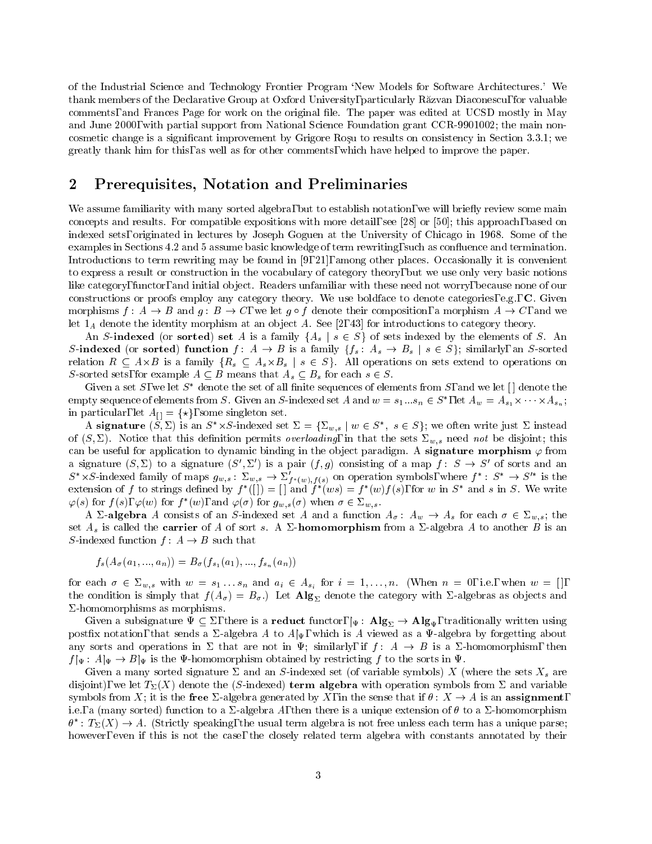of the Industrial Science and Technology Frontier Program `New Models for Software Architectures.' We thank members of the Declarative Group at Oxford University, particularly Razvan Diaconescu, for valuable comments, and Frances Page for work on the original file. The paper was edited at UCSD mostly in May and June 2000, with partial support from National Science Foundation grant CCR-9901002; the main noncosmetic change is a signicant improvement by Grigore Rosu to results on consistency in Section 3.3.1; we greatly thank him for this, as well as for other comments, which have helped to improve the paper.

## 2 Prerequisites, Notation and Preliminaries

We assume familiarity with many sorted algebra, but to establish notation, we will briefly review some main concepts and results. For compatible expositions with more detail, see [28] or [50]; this approach, based on indexed sets, originated in lectures by Joseph Goguen atthe University of Chicago in 1968. Some of the examples in Sections 4.2 and 5 assume basic knowledge of term rewriting, such as confluence and termination. Introductions to term rewriting may be found in [9, 21], among other places. Occasionally it is convenient to express a result or construction in the vocabulary of category theory, but we use only very basic notions like category, functor, and initial ob ject. Readers unfamiliar with these need not worry, because none of our constructions or proofs employ any category theory. We use boldface to denote categories, e.g., C. Given  $\min\{y \colon x \colon x \mapsto \min\{y \colon x \to y \colon y \in \mathbb{R}^d\} \mid \text{where } \min\{x \colon y \mapsto y \colon y \mapsto y \in \mathbb{R}^d\}$ let  $1_A$  denote the identity morphism at an object A. See [2, 43] for introductions to category theory.

An S-indexed (or sorted) set A is a family  $\{A_s \mid s \in S\}$  of sets indexed by the elements of S. An S-indexed (or a family function function function function function  $\mathcal{A}$  is  $\mathcal{A}$  such an  $S-$  sorted function function function function function function  $\mathcal{A}$  is a family function function function function f relation R  $\alpha$  is a family frequency of the sets extending to operations on sets extending to operations on sets extending to operations on sets extending to operations on the contract of the contract of the contract of S-sorted sets, for example  $A \subseteq B$  means that  $A_s \subseteq B_s$  for each  $s \in S$ .

Given a set S, we let  $S^*$  denote the set of all finite sequences of elements from S, and we let  $\lceil \cdot \rceil$  denote the empty sequence of elements from S. Given an S-indexed set A and  $w = s_1...s_n \in S$  , let  $A_w = A_{s_1} \times \cdots \times A_{s_n}$ ; in particular, let  $A_{[]} = \{ \star \}$ , some singleton set.

A signature (5, 2) is an S- $\times$ 5-indexed set  $\Delta = \{\Delta_{w,s} \mid w \in S_-, s \in S\}$ ; we often write just  $\Delta$  instead of  $(S, \Sigma)$ . Notice that this definition permits *overloading*, in that the sets  $\Sigma_{w,s}$  need not be disjoint; this can be useful for application to dynamic binding in the object paradigm. A signature morphism  $\varphi$  from a signature  $(S, \Sigma)$  to a signature  $(S', \Sigma')$  is a pair  $(f, g)$  consisting of a map  $f: S \to S'$  of sorts and an S  $\times$ S-indexed family of maps  $g_{w,s} \colon \mathcal{Z}_{w,s} \to \mathcal{Z}_{f*(w),f(s)}$  on operation symbols, where  $f \colon S \to S$  is the extension of f to strings defined by f  $(|\cdot|) = |$  and f  $(ws) = f(w)/f(s)$ , for w in S and s in S. We write  $\varphi(s)$  for  $f(s), \varphi(w)$  for  $f^*(w)$ , and  $\varphi(\sigma)$  for  $g_{w,s}(\sigma)$  when  $\sigma \in \Delta_{w,s}$ .

A  $\Sigma$ -algebra A consists of an S-indexed set A and a function  $A_{\sigma}: A_w \to A_s$  for each  $\sigma \in \Sigma_{w,s}$ ; the set  $A_s$  is called the **carrier** of A of sort s. A  $\Sigma$ -homomorphism from a  $\Sigma$ -algebra A to another B is an S-indexed function  $f: A \rightarrow B$  such that

$$
f_s(A_{\sigma}(a_1, ..., a_n)) = B_{\sigma}(f_{s_1}(a_1), ..., f_{s_n}(a_n))
$$

for each  $2$  in the single state  $\{1\}$  is an aid  $\{1\}$  for intervals of  $\{1\}$  , when we fixed when we fixed when we fixed with  $\{1\}$ the condition is simply that  $f(A_{\sigma}) = B_{\sigma}$ . Let  $\mathbf{Alg}_{\Sigma}$  denote the category with  $\Sigma$ -algebras as objects and  $\Sigma$ -homomorphisms as morphisms.

Given a subsignature  $\Psi \subseteq \Sigma$ , there is a **reduct** functor,  $\phi : Alg_{\Sigma} \to Alg_{\Psi}$ , traditionally written using postfix notation, that sends a  $\Sigma$ -algebra A to  $A\psi$ , which is A viewed as a  $\Psi$ -algebra by forgetting about any sorts and operations in  $\mathcal{A}$  in  $\mathcal{A}$  is a similar ly, if  $\mathcal{A}$  is a -homomorphism, then  $\mathcal{A}$  $f\vert_{\Psi}: A\vert_{\Psi} \to B\vert_{\Psi}$  is the  $\Psi$ -homomorphism obtained by restricting f to the sorts in  $\Psi$ .

Given a many sorted signature  $\Sigma$  and an S-indexed set (of variable symbols) X (where the sets  $X_s$  are disjoint), we let  $T_{\Sigma}(X)$  denote the (S-indexed) term algebra with operation symbols from  $\Sigma$  and variable symbols from X; it is the free  $\Sigma$ -algebra generated by X, in the sense that if  $\theta: X \to A$  is an assignment, i.e., a (many sorted) function to a  $\Sigma$ -algebra A, then there is a unique extension of  $\theta$  to a  $\Sigma$ -homomorphism  $\sigma$  :  $I_{\Sigma}(\Lambda) \to A$ . (Strictly speaking, the usual term algebra is not free unless each term has a unique parse; however, even if this is not the case, the closely related term algebra with constants annotated by their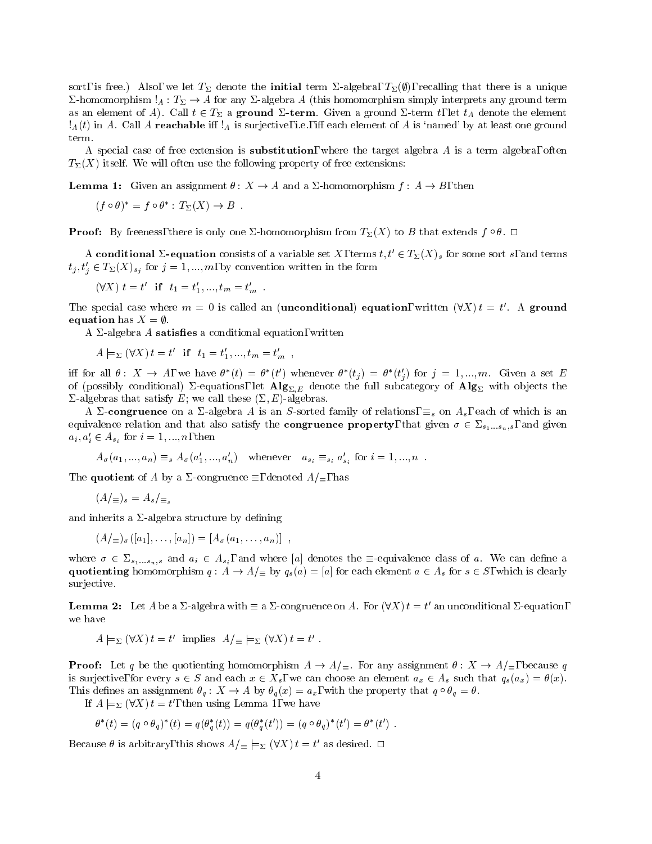sort, is free.) Also, we let  $T_{\Sigma}$  denote the **initial** term  $\Sigma$ -algebra,  $T_{\Sigma}(\emptyset)$ , recalling that there is a unique  $\Sigma$ -homomorphism !<sub>A</sub> :  $T_{\Sigma} \to A$  for any  $\Sigma$ -algebra A (this homomorphism simply interprets any ground term as an element of A). Call  $t \in T_{\Sigma}$  a ground  $\Sigma$ -term. Given a ground  $\Sigma$ -term t, let  $t_A$  denote the element  $!_A(t)$  in A. Call A reachable iff  $!_A$  is surjective, i.e., iff each element of A is 'named' by at least one ground

A special case of free extension is **substitution**, where the target algebra  $A$  is a term algebra, often  $T_{\Sigma}(X)$  itself. We will often use the following property of free extensions:

**Lemma 1:** Given an assignment  $\theta: X \to A$  and a  $\Sigma$ -homomorphism  $f: A \to B$ , then

$$
(f \circ \theta)^* = f \circ \theta^* : T_{\Sigma}(X) \to B
$$

**Proof:** By freeness, there is only one  $\Sigma$ -homomorphism from  $T_{\Sigma}(X)$  to B that extends  $f \circ \theta$ .

A conditional  $\Sigma$ -equation consists of a variable set X, terms t,  $t \in T_{\Sigma}(X)$  for some sort s, and terms  $t_j, t'_j \in T_\Sigma(X)_{s_j}$  for  $j = 1, ..., m$ , by convention written in the form

$$
(\forall X) t = t'
$$
 if  $t_1 = t'_1, ..., t_m = t'_m$ .

The special case where  $m = 0$  is called an (unconditional) equation, written  $(\forall X)$   $t = t$ . A ground equation has  $X = \emptyset$ .

A  $\Sigma$ -algebra A satisfies a conditional equation, written

 $A \models_{\Sigma} (\triangledown A) t = t$  II  $t_1 = t_1, ..., t_m = t_m$ ,

in for all  $\sigma: A \to A$ , we have  $\sigma(\iota) = \sigma(\iota)$  whenever  $\sigma(\iota_j) = \sigma(\iota_j)$  for  $j = 1, ..., m$ . Given a set E of (possibly conditional)  $\Sigma$ -equations, let  $\mathbf{Alg}_{\Sigma,E}$  denote the full subcategory of  $\mathbf{Alg}_{\Sigma}$  with objects the  $\Sigma$ -algebras that satisfy E; we call these  $(\Sigma, E)$ -algebras.

A  $\Sigma$ -congruence on a  $\Sigma$ -algebra A is an S-sorted family of relations,  $\equiv_s$  on  $A_s$ , each of which is an equivalence relation and that also satisfy the **congruence property**, that given  $\sigma \in \Sigma_{s_1...s_n,s}$ , and given  $a_i, a'_i \in A_{s_i}$  for  $i = 1, ..., n$ , then

 $A_{\sigma}(a_1,...,a_n) \equiv_s A_{\sigma}(a_1,...,a_n)$  whenever  $a_{s_i} \equiv_{s_i} a_{s_i}$  for  $i = 1,...,n$ .

The **quotient** of A by a  $\Sigma$ -congruence  $\equiv$ , denoted  $A/\equiv$ , has

 $(A/\equiv)_{s} = A_{s}/\equiv$ .

and inherits a  $\Sigma$ -algebra structure by defining

 $(A/\equiv)_{\sigma}([a_1],\ldots,[a_n]) = [A_{\sigma}(a_1,\ldots,a_n)]$ ,

where  $\alpha$  s1  $\alpha$  is and aix  $\alpha$  and ain  $\alpha$ . The -equivalence class of a. We can denote class of a. We can denote class of a. We can denote class of a. We can denote class of a. We can denote class of a. We can denote  ${\bf q}$  is a second denote the second  ${\bf q}$  . As for  ${\bf q}$  for each  ${\bf p}$  for each element and  ${\bf q}$  is clearly and  ${\bf q}$ surjective.

**Lemma 2:** Let A be a 2-algebra with  $\equiv$  a 2-congruence on A. For (8X)  $t \equiv t$  an unconditional 2-equation, we have

 $A \models_{\Sigma} (\forall \Lambda) t = t$  implies  $A/\models \models_{\Sigma} (\forall \Lambda) t = t$ .

**Proof:** Let q be the quotienting homomorphism  $A \to A/\equiv$ . For any assignment  $\theta: X \to A/\equiv$ , because q is surjective, for every  $s \in S$  and each  $x \in X_s$ , we can choose an element  $a_x \in A_s$  such that  $q_s(a_x) = \theta(x)$ . This defines an assignment  $\theta_q : X \to A$  by  $\theta_q(x) = a_x$ , with the property that  $q \circ \theta_q = \theta$ .

If  $A \models_{\Sigma} (\forall X) t = t$ , then using Lemma 1, we have

$$
\theta^*(t) = (q \circ \theta_q)^*(t) = q(\theta_q^*(t)) = q(\theta_q^*(t')) = (q \circ \theta_q)^*(t') = \theta^*(t')
$$

Decause  $\sigma$  is arbitrary, this shows  $A/\equiv \equiv \sum (V \Lambda) t = t$  as desired.  $\Box$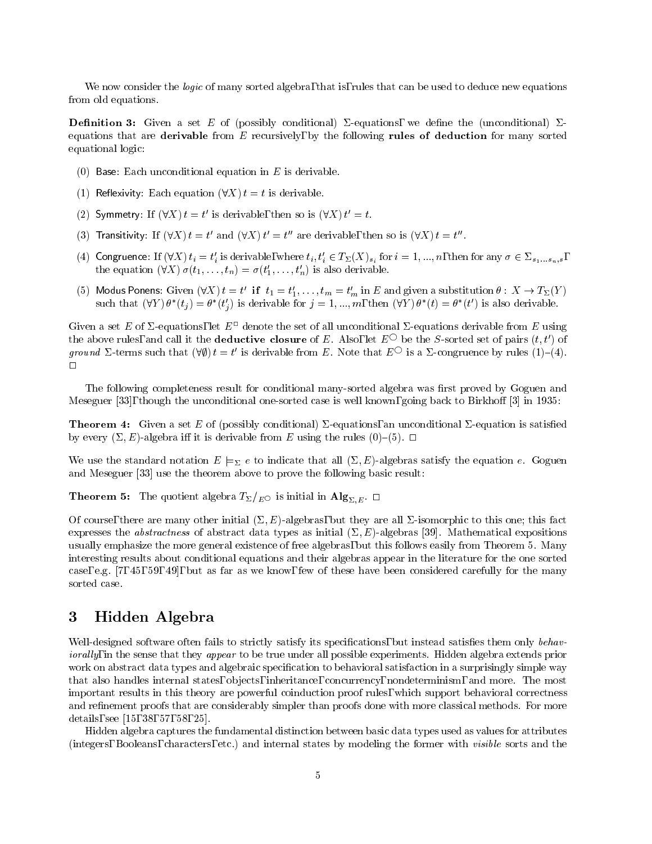We now consider the *logic* of many sorted algebra, that is, rules that can be used to deduce new equations from old equations.

**Definition 3:** Given a set E of (possibly conditional)  $\Sigma$ -equations, we define the (unconditional)  $\Sigma$ equations that are derivable from  $E$  recursively, by the following rules of deduction for many sorted equational logic:

- (0) Base: Each unconditional equation in  $E$  is derivable.
- (1) Reflexivity: Each equation  $(\forall X) t = t$  is derivable.
- (2) Symmetry: If  $(\forall X)$   $t = t$  is derivable, then so is  $(\forall X)$   $t = t$ .
- (5) Transitivity: If  $(\forall A) b \equiv b$  and  $(\forall A) b \equiv b$  are derivable, then so is  $(\forall A) b \equiv b$ .
- (4) Congruence: If  $(\forall X)$   $t_i = t_i$  is derivable, where  $t_i, t_i \in I_{\Sigma}(X)_{s_i}$  for  $i = 1, ..., n$ , then for any  $\sigma \in \mathcal{Z}_{s_1...s_n,s_j}$ the equation  $(\forall X) \sigma(t_1,\ldots,t_n) = \sigma(t_1,\ldots,t_n)$  is also derivable.
- (5) Modus Ponens: Given  $(\forall X)$   $t \equiv t$  and  $t_1 = t_1, \ldots, t_m = t_m$  in E and given a substitution  $\sigma \colon X \to I\Sigma(Y)$ such that  $(8Y \mid \sigma)(t_j) = \sigma(t_j)$  is derivable for  $j = 1, ..., m$ , then  $(8Y \mid \sigma)(t) = \sigma(t_j)$  is also derivable.

Given a set E of  $\Delta$ -equations, let  $E$  all denote the set of all unconditional  $\Delta$ -equations derivable from E using the above rules, and call it the **deductive closure** of E. Also, let  $E^{\bigcirc}$  be the S-sorted set of pairs  $(t, t')$  of ground  $\Sigma$ -terms such that  $(\forall y)$  t = t is derivable from E. Note that  $E \subseteq$  is a  $\Sigma$ -congruence by rules (1)=(4).

The following completeness result for conditional many-sorted algebra was first proved by Goguen and Meseguer  $[33]$ , though the unconditional one-sorted case is well known, going back to Birkhoff  $[3]$  in 1935:

**Theorem 4:** Given a set E of (possibly conditional)  $\Sigma$ -equations, an unconditional  $\Sigma$ -equation is satisfied by every  $(\Sigma, E)$ -algebra iff it is derivable from E using the rules  $(0)$ – $(5)$ .  $\Box$ 

We use the standard notation  $E \models_{\Sigma} e$  to indicate that all  $(\Sigma, E)$ -algebras satisfy the equation e. Goguen and Meseguer [33] use the theorem above to prove the following basic result:

**Theorem 5:** The quotient algebra  $T_{\Sigma}/E_{\Sigma}$  is initial in  $\mathbf{Alg}_{\Sigma,E}$ .  $\Box$ 

Of course, there are many other initial  $(\Sigma, E)$ -algebras, but they are all  $\Sigma$ -isomorphic to this one; this fact expresses the *abstractness* of abstract data types as initial  $(\Sigma, E)$ -algebras [39]. Mathematical expositions usually emphasize the more general existence of free algebras, but this follows easily from Theorem 5. Many interesting results about conditional equations and their algebras appear in the literature for the one sorted case, e.g. [7, 45, 59, 49], but as far as we know, few of these have been considered carefully for the many sorted case.

#### 3 3 Hidden Algebra

Well-designed software often fails to strictly satisfy its specifications, but instead satisfies them only behav*iorally*, in the sense that they *appear* to be true under all possible experiments. Hidden algebra extends prior work on abstract data types and algebraic specification to behavioral satisfaction in a surprisingly simple way that also handles internal states, ob jects, inheritance, concurrency, nondeterminism, and more. The most important results in this theory are powerful coinduction proof rules, which support behavioral correctness and refinement proofs that are considerably simpler than proofs done with more classical methods. For more details, see [15, 38, 57, 58, 25].

Hidden algebra captures the fundamental distinction between basic data types used as values for attributes (integers, Booleans, characters, etc.) and internal states by modeling the former with visible sorts and the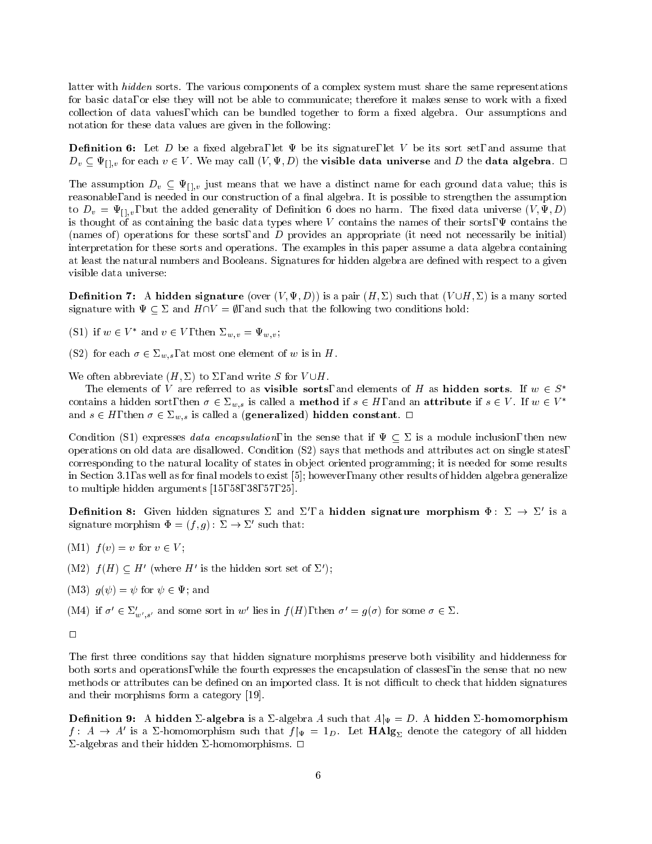latter with *hidden* sorts. The various components of a complex system must share the same representations for basic data, or else they will not be able to communicate; therefore it makes sense to work with a fixed collection of data values, which can be bundled together to form a fixed algebra. Our assumptions and notation for these data values are given in the following:

**Definition 6:** Let D be a fixed algebra, let  $\Psi$  be its signature, let V be its sort set, and assume that  $D_v \subseteq \Psi_{[]v}$  for each  $v \in V$ . We may call  $(V, \Psi, D)$  the **visible data universe** and D the **data algebra**.  $\Box$ 

The assumption  $D_v \subseteq \Psi_{[1,v]}$  just means that we have a distinct name for each ground data value; this is reasonable, and is needed in our construction of a final algebra. It is possible to strengthen the assumption to  $D_v = \Psi_{[1,v]}$ , but the added generality of Definition 6 does no harm. The fixed data universe  $(V, \Psi, D)$ is thought of as containing the basic data types where V contains the names of their sorts,  $\Psi$  contains the (names of) operations for these sorts, and  $D$  provides an appropriate (it need not necessarily be initial) interpretation for these sorts and operations. The examples in this paper assume a data algebra containing at least the natural numbers and Booleans. Signatures for hidden algebra are dened with respect to a given visible data universe:

**Definition 7:** A hidden signature (over  $(V, \Psi, D)$ ) is a pair  $(H, \Sigma)$  such that  $(V \cup H, \Sigma)$  is a many sorted signature with  $\Psi \subseteq \Sigma$  and  $H\cap V = \emptyset$ , and such that the following two conditions hold:

(S1) if  $w \in V$  and  $v \in V$ , then  $\sum_{w,v} = \Psi_{w,v}$ ;

(S2) for each  $\sigma \in \Sigma_{w,s}$ , at most one element of w is in H.

We often abbreviate  $(H, \Sigma)$  to  $\Sigma$ , and write S for  $V \cup H$ .

The elements of V are referred to as **visible sorts**, and elements of H as **hidden sorts**. If  $w \in S$ contains a hidden sort, then  $\sigma \in \Sigma_{w,s}$  is called a **method** if  $s \in H$ , and an **attribute** if  $s \in V$ . If  $w \in V^*$ and s 2 w;s is called a  $\mathbf{G}$  with a called a (generalized) hidden constant. 2 with a constant  $\mathbf{G}$ 

Condition (S1) expresses data encapsulation, in the sense that if  $\mathbf r$  is a module inclusion, then new  $\mathbf r$ operations on old data are disallowed. Condition (S2) says that methods and attributes act on single states, corresponding to the natural locality of states in object oriented programming; it is needed for some results in Section 3.1, as well as for final models to exist [5]; however, many other results of hidden algebra generalize to multiple hidden arguments [15, 58, 38, 57, 25].

**Definition 8:** Given hidden signatures  $\Sigma$  and  $\Sigma'$ , a **hidden signature morphism**  $\Phi: \Sigma \to \Sigma'$  is a signature morphism  $\Phi = (f, g) : \Sigma \to \Sigma'$  such that:

(M1)  $f(v) = v$  for  $v \in V$ ;

(M2)  $f(H) \subseteq H$  (where H is the hidden sort set of 2);

(M3)  $g(\psi) = \psi$  for  $\psi \in \Psi$ ; and

(M4) if  $\sigma \in \Delta_{w',s'}$  and some sort in w lies in  $f(H)$ , then  $\sigma = g(\sigma)$  for some  $\sigma \in \Delta$ .

 $\Box$ 

The first three conditions say that hidden signature morphisms preserve both visibility and hiddenness for both sorts and operations, while the fourth expresses the encapsulation of classes, in the sense that no new methods or attributes can be defined on an imported class. It is not difficult to check that hidden signatures and their morphisms form a category [19].

**Definition 9:** A hidden  $\Sigma$ -algebra is a  $\Sigma$ -algebra A such that  $A|\Psi = D$ . A hidden  $\Sigma$ -homomorphism  $f: A \to A$  is a 2-homomorphism such that  $f | \Psi = 1D$ . Let  $\mathbf{HAlg}_{\Sigma}$  denote the category of all mudden  $\Sigma$ -algebras and their hidden  $\Sigma$ -homomorphisms.  $\square$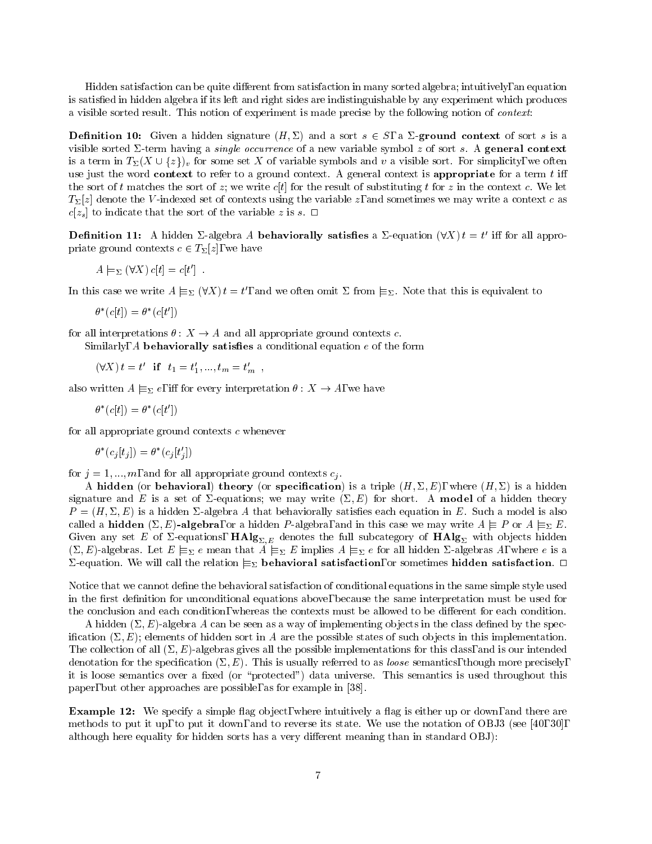Hidden satisfaction can be quite different from satisfaction in many sorted algebra; intuitively, an equation is satisfied in hidden algebra if its left and right sides are indistinguishable by any experiment which produces a visible sorted result. This notion of experiment is made precise by the following notion of context:

**Definition 10:** Given a hidden signature  $(H, \Sigma)$  and a sort  $s \in S$ , a  $\Sigma$ -ground context of sort s is a visible sorted  $\Sigma$ -term having a *single occurrence* of a new variable symbol z of sort s. A general context is a term in  $T_{\Sigma}(X \cup \{z\})_v$  for some set X of variable symbols and v a visible sort. For simplicity, we often use just the word context to refer to a ground context. A general context is appropriate for a term  $t$  iff the sort of t matches the sort of z; we write  $c[t]$  for the result of substituting t for z in the context c. We let  $T_{\Sigma}[z]$  denote the V-indexed set of contexts using the variable z, and sometimes we may write a context c as  $c[z_s]$  to indicate that the sort of the variable z is s.  $\Box$ 

**Definition 11:** A moden 2-algebra A **behaviorally satisfies** a 2-equation (v $\Lambda$ )  $t \equiv t$  in for all appropriate ground contexts  $c \in T_{\Sigma}[z]$ , we have

$$
A \models_{\Sigma} (\forall X) c[t] = c[t'] .
$$

In this case we write  $A \models_{\Sigma} (\forall A) t \equiv t$ , and we often omit  $\Delta$  from  $\models_{\Sigma}$ . Note that this is equivalent to

$$
\theta^*(c[t]) = \theta^*(c[t'])
$$

for all interpretations  $\theta: X \to A$  and all appropriate ground contexts c.

Similarly,  $A$  behaviorally satisfies a conditional equation  $e$  of the form

 $(\nabla \Lambda) t = t$  if  $t_1 = t_1, ..., t_m = t_m$ ,

also written  $A \vDash_{\Sigma} e$ , iff for every interpretation  $\theta: X \to A$ , we have

$$
\theta^*(c[t]) = \theta^*(c[t'])
$$

for all appropriate ground contexts c whenever

$$
\theta^*(c_j[t_j]) = \theta^*(c_j[t'_j])
$$

for  $j = 1, ..., m$ , and for all appropriate ground contexts  $c_j$ .

A hidden (or behavioral) theory (or specification) is a triple  $(H, \Sigma, E)$ , where  $(H, \Sigma)$  is a hidden signature and E is a set of  $\Sigma$ -equations; we may write  $(\Sigma, E)$  for short. A **model** of a hidden theory  $P = (H, \Sigma, E)$  is a hidden  $\Sigma$ -algebra A that behaviorally satisfies each equation in E. Such a model is also called a **hidden**  $(\Sigma, E)$ -algebra, or a hidden P-algebra, and in this case we may write  $A \equiv P$  or  $A \equiv_{\Sigma} E$ . Given any set E of  $\Sigma$ -equations,  $\mathbf{HAlg}_{\Sigma,E}$  denotes the full subcategory of  $\mathbf{HAlg}_{\Sigma}$  with objects hidden  $(\Sigma, E)$ -algebras. Let  $E \models_{\Sigma} e$  mean that  $A \models_{\Sigma} E$  implies  $A \models_{\Sigma} e$  for all hidden  $\Sigma$ -algebras A, where e is a  $\Sigma$ -equation. We will call the relation  $\equiv_{\Sigma}$  behavioral satisfaction, or sometimes hidden satisfaction.  $\square$ 

Notice that we cannot define the behavioral satisfaction of conditional equations in the same simple style used in the first definition for unconditional equations above, because the same interpretation must be used for the conclusion and each condition, whereas the contexts must be allowed to be different for each condition.

A hidden  $(\Sigma, E)$ -algebra A can be seen as a way of implementing objects in the class defined by the specification  $(\Sigma, E)$ ; elements of hidden sort in A are the possible states of such objects in this implementation. The collection of all  $(\Sigma, E)$ -algebras gives all the possible implementations for this class, and is our intended denotation for the specification  $(\Sigma, E)$ . This is usually referred to as *loose* semantics, though more precisely, it is loose semantics over a fixed (or "protected") data universe. This semantics is used throughout this paper, but other approaches are possible, as for example in [38].

**Example 12:** We specify a simple flag object, where intuitively a flag is either up or down, and there are methods to put it up, to put it down, and to reverse its state. We use the notation of OBJ3 (see [40, 30], although here equality for hidden sorts has a very different meaning than in standard  $OBJ$ :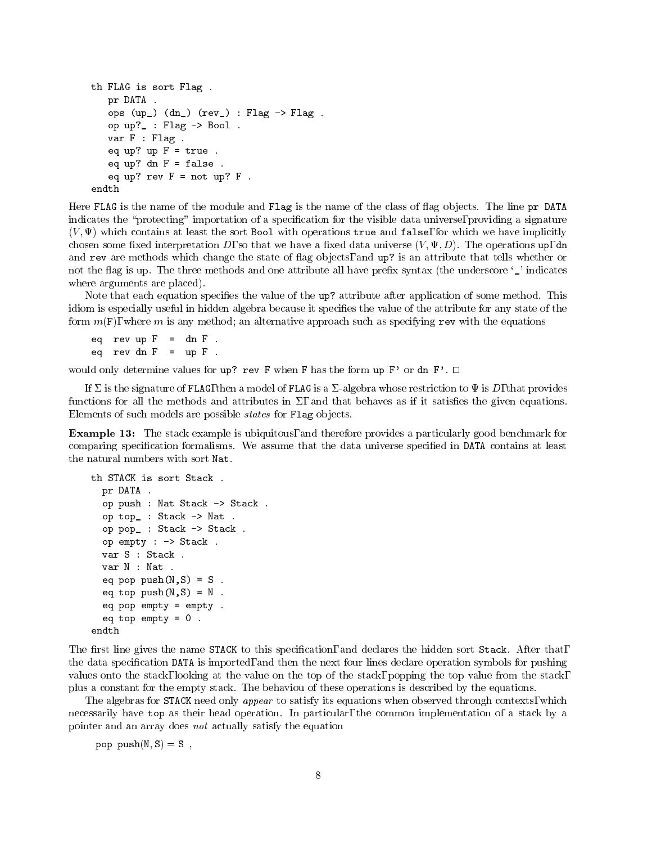```
th FLAG is sort Flag .
   pr DATA .
   ops (up_+) (dn_-) (rev_-) : Flag \rightarrow Flag .
   op up?_ : Flag -> Bool .
   var F : Flag .
   eq up? up F = true.
   eq up? dn F = false .
   eq up? rev F = not up? F .
endth
```
Here FLAG is the name of the module and Flag is the name of the class of flag objects. The line pr DATA indicates the "protecting" importation of a specification for the visible data universe, providing a signature  $(V, \Psi)$  which contains at least the sort Bool with operations true and false, for which we have implicitly chosen some fixed interpretation D, so that we have a fixed data universe  $(V, \Psi, D)$ . The operations up, dn and rev are methods which change the state of flag objects, and up? is an attribute that tells whether or not the flag is up. The three methods and one attribute all have prefix syntax (the underscore '\_' indicates where arguments are placed).

Note that each equation specifies the value of the up? attribute after application of some method. This idiom is especially useful in hidden algebra because it species the value of the attribute for any state of the form  $m(F)$ , where m is any method; an alternative approach such as specifying rev with the equations

eq rev up  $F = dn F$ . eq rev dn  $F = up F$ .

would only determine values for up? rev F when F has the form up F' or dn F'.  $\Box$ 

If  $\Sigma$  is the signature of FLAG, then a model of FLAG is a  $\Sigma$ -algebra whose restriction to  $\Psi$  is D, that provides functions for all the methods and attributes in  $\Sigma$ , and that behaves as if it satisfies the given equations. Elements of such models are possible *states* for Flag objects.

Example 13: The stack example is ubiquitous, and therefore provides a particularly good benchmark for comparing specification formalisms. We assume that the data universe specified in DATA contains at least the natural numbers with sort Nat.

```
th STACK is sort Stack .
  pr DATA .
  op push : Nat Stack -> Stack .
  op top_ : Stack -> Nat .
  op pop_ : Stack -> Stack .
  op empty : -> Stack .
  var S : Stack .
  var N : Nat .
  eq pop push(N,S) = S.
  eq top push(N,S) = N.
  eq pop empty = empty .
  eq top empty = 0.
endth
```
The first line gives the name STACK to this specification, and declares the hidden sort Stack. After that, the data specication DATA is imported, and then the next four lines declare operation symbols for pushing values onto the stack, looking at the value on the top of the stack, popping the top value from the stack, plus a constant for the empty stack. The behaviou of these operations is described by the equations.

The algebras for STACK need only *appear* to satisfy its equations when observed through contexts, which necessarily have top as their head operation. In particular, the common implementation of a stack by a pointer and an array does not actually satisfy the equation

pop  $push(N, S) = S$ ,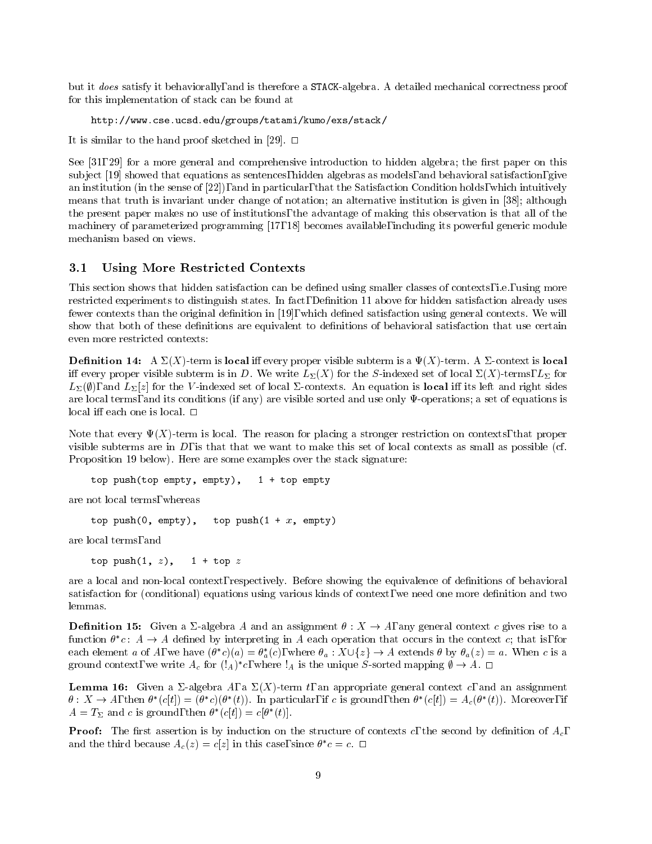but it does satisfy it behaviorally, and is therefore a STACK-algebra. A detailed mechanical correctness proof for this implementation of stack can be found at

http://www.cse.ucsd.edu/groups/tatami/kumo/exs/stack/

It is similar to the hand proof sketched in [29].  $\Box$ 

See  $[31, 29]$  for a more general and comprehensive introduction to hidden algebra; the first paper on this subject [19] showed that equations as sentences, hidden algebras as models, and behavioral satisfaction, give an institution (in the sense of [22]), and in particular, that the Satisfaction Condition holds, which intuitively means that truth is invariant under change of notation; an alternative institution is given in [38]; although the present paper makes no use of institutions, the advantage of making this observation is that all of the machinery of parameterized programming [17, 18] becomes available, including its powerful generic module mechanism based on views.

#### Using More Restricted Contexts  $3.1$

This section shows that hidden satisfaction can be dened using smaller classes of contexts, i.e., using more restricted experiments to distinguish states. In fact, Definition 11 above for hidden satisfaction already uses fewer contexts than the original definition in [19], which defined satisfaction using general contexts. We will show that both of these definitions are equivalent to definitions of behavioral satisfaction that use certain even more restricted contexts:

**Definition 14:** A  $\Sigma(X)$ -term is local iff every proper visible subterm is a  $\Psi(X)$ -term. A  $\Sigma$ -context is local iff every proper visible subterm is in D. We write  $L_{\Sigma}(X)$  for the S-indexed set of local  $\Sigma(X)$ -terms,  $L_{\Sigma}$  for  $L_{\Sigma}(\emptyset)$ , and  $L_{\Sigma}[z]$  for the V-indexed set of local  $\Sigma$ -contexts. An equation is **local** iff its left and right sides are local terms, and its conditions (if any) are visible sorted and use only  $\Psi$ -operations; a set of equations is local iff each one is local.  $\Box$ 

Note that every  $\Psi(X)$ -term is local. The reason for placing a stronger restriction on contexts, that proper visible subterms are in  $D$ , is that that we want to make this set of local contexts as small as possible (cf. Proposition 19 below). Here are some examples over the stack signature:

```
top push(top empty, empty), 1 + top empty
```
are not local terms, whereas

```
top push(0, empty), top push(1 + x, empty)
```
are local terms, and

top push $(1, z)$ , 1 + top z

are a local and non-local context, respectively. Before showing the equivalence of definitions of behavioral satisfaction for (conditional) equations using various kinds of context, we need one more denition and two lemmas.

**Definition 15:** Given a  $\Sigma$ -algebra A and an assignment  $\theta : X \to A$ , any general context c gives rise to a function  $\sigma$   $c\colon$   $A\to A$  defined by interpreting in  $A$  each operation that occurs in the context  $c$ ; that is, for each element a of A, we have  $(\sigma c)(a) = \sigma_a(c)$ , where  $\sigma_a : \Lambda \cup \{z\} \to A$  extends  $\sigma$  by  $\sigma_a(z) = a$ . When c is a ground context, we write  $A_c$  for  $(|_A)^*c$ , where  $|_A$  is the unique S-sorted mapping  $\emptyset \to A$ .  $\Box$ 

**Lemma 16:** Given a  $\Sigma$ -algebra A, a  $\Sigma(X)$ -term t, an appropriate general context c, and an assignment  $\sigma: \ A \to A$ , then  $\sigma$   $(c|t|) = (\sigma \ c)(\sigma \ (t))$ . In particular, if c is ground, then  $\sigma \ (c|t|) = A_c(\sigma \ (t))$ . Moreover, if  $A = I_{\Sigma}$  and c is ground, then  $\theta$   $(c[t]) = c[\theta(t)].$ 

**Proof:** The first assertion is by induction on the structure of contexts c, the second by definition of  $A_c$ , and the third because  $A_c(z) = c|z|$  in this case, since  $\sigma$   $c = c$ .  $\Box$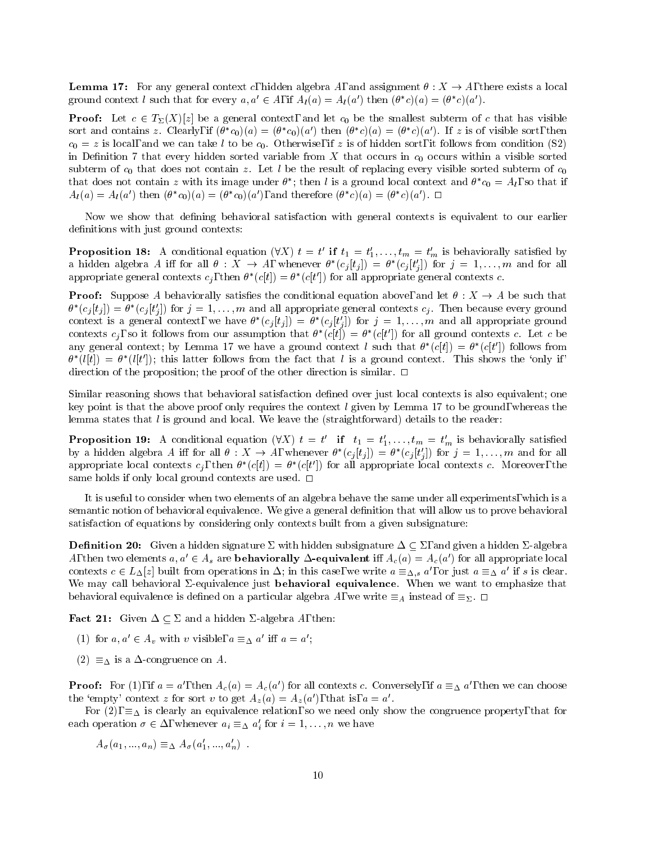**Lemma 17:** For any general context c, hidden algebra A, and assignment  $\theta : X \to A$ , there exists a local ground context *i* such that for every  $a, a \in A$ , if  $A_l(a) = A_l(a)$  then  $(\sigma c)(a) = (\sigma c)(a)$ .

 $\mathcal{L} = \mathcal{L} = \{ \mathcal{L} \mid \mathcal{L} = \mathcal{L} \}$  be a general context, and let  $\mathcal{L} \cup \{ \mathcal{L} \}$  and the smallest subtermination of context subtermination of context subtermination of  $\mathcal{L}$ sort and contains z. Clearly, if  $(\sigma | c_0)(a) = (\sigma | c_0)(a)$  then  $(\sigma | c)(a) = (\sigma | c)(a)$ . If z is of visible sort, then  $c_0 = z$  is local, and we can take l to be  $c_0$ . Otherwise, if z is of hidden sort, it follows from condition (S2) in Definition 7 that every hidden sorted variable from X that occurs in  $c_0$  occurs within a visible sorted subterm of  $c_0$  that does not contain z. Let l be the result of replacing every visible sorted subterm of  $c_0$ that does not contain z with its image under  $\sigma$  ; then  $\iota$  is a ground local context and  $\sigma$   $c_0 = A_l,$  so that if  $A_l(a) = A_l(a)$  then  $(\sigma c_0)(a) = (\sigma c_0)(a)$ , and therefore  $(\sigma c)(a) = (\sigma c)(a)$ .

Now we show that defining behavioral satisfaction with general contexts is equivalent to our earlier definitions with just ground contexts:

**Proposition 18:** A conditional equation  $(\forall X)$   $t = t$  **if**  $t_1 = t_1, \ldots, t_m = t_m$  is behaviorally satisfied by a midden algebra A in for all  $\sigma : A \to A$ , whenever  $\sigma$   $(c_j[\iota_j]) = \sigma$   $(c_j[\iota_i])$  for  $j = 1, \ldots, m$  and for all appropriate general contexts  $c_i$ , then  $\sigma$   $(c|t|) = \sigma$   $(c|t|)$  for all appropriate general contexts  $c$ .

**Proof:** Suppose A behaviorally satisfies the conditional equation above, and let  $\theta : X \to A$  be such that  $\sigma$   $(c_j[\iota_j]) = \sigma$   $(c_j[\iota_j])$  for  $j = 1,\ldots,m$  and all appropriate general contexts  $c_j$ . Then because every ground context is a general context, we have  $\sigma$   $(c_j[\iota_j]) = \sigma$   $(c_j[\iota_j])$  for  $j = 1, \ldots, m$  and all appropriate ground contexts  $c_i$ , so it follows from our assumption that  $\sigma$   $(c[t]) = \sigma$   $(c[t])$  for all ground contexts  $c$ . Let  $c$  be any general context; by Lemma 17 we have a ground context  $\iota$  such that  $\sigma$  ( $c[\iota]$ )  $= \sigma$  ( $c[\iota]$ ) follows from  $\theta^*(l[t]) = \theta^*(l[t'])$ ; this latter follows from the fact that l is a ground context. This shows the 'only if' direction of the proposition; the proof of the other direction is similar.  $\Box$ 

Similar reasoning shows that behavioral satisfaction defined over just local contexts is also equivalent; one key point is that the above proof only requires the context  $l$  given by Lemma 17 to be ground, whereas the lemma states that  $l$  is ground and local. We leave the (straightforward) details to the reader:

**Proposition 19:** A conditional equation  $(\forall x)$   $t = t$  **ii**  $t_1 = t_1, \ldots, t_m = t_m$  is behaviorally satisfied by a moden algebra A in for all  $\sigma : A \to A$ , whenever  $\sigma$   $(c_j[i_j]) = \sigma$   $(c_j[i_j])$  for  $j = 1, \ldots, m$  and for all appropriate local contexts  $c_j$ , then  $\sigma$   $(c[t]) = \sigma$  ( $c[t]$ ) for all appropriate local contexts  $c$ . Moreover, the same holds if only local ground contexts are used.  $\square$ 

It is useful to consider when two elements of an algebra behave the same under all experiments, which is a semantic notion of behavioral equivalence. We give a general denition that will allow us to prove behavioral satisfaction of equations by considering only contexts built from a given subsignature:

**Definition 20:** Given a hidden signature  $\Sigma$  with hidden subsignature  $\Delta \subseteq \Sigma$ , and given a hidden  $\Sigma$ -algebra A, then two elements  $a, a' \in A_s$  are **behaviorally**  $\Delta$ **-equivalent** iff  $A_c(a) = A_c(a')$  for all appropriate local contexts  $c \in L_{\Delta}[z]$  built from operations in  $\Delta$ ; in this case, we write  $a \equiv_{\Delta,s} a$ , or just  $a \equiv_{\Delta} a$  if s is clear. We may call behavioral  $\Sigma$ -equivalence just **behavioral equivalence**. When we want to emphasize that behavioral equivalence is defined on a particular algebra A, we write  $\equiv_A$  instead of  $\equiv_\Sigma$ .  $\Box$ 

**Fact 21:** Given  $\Delta \subseteq \Sigma$  and a hidden  $\Sigma$ -algebra A, then:

- (1) for  $a, a' \in A_v$  with v visible,  $a \equiv_{\Delta} a'$  iff  $a = a'$ ;
- $\overline{a}$  is a -congruence on A. I. a -congruence on A. I. a -congruence on A. I. a -congruence on A. I. a -congruence on A. I. a -congruence on A. I. a -congruence on A. I. a -congruence on A. I. a -congruence on A. I. a

**Proof:** For (1), if  $a = a'$ , then  $A_c(a) = A_c(a')$  for all contexts c. Conversely, if  $a \equiv_{\Delta} a'$ , then we can choose the 'empty' context z for sort v to get  $A_z(a) = A_z(a')$ , that is,  $a = a'$ .

For  $(2)$ ,  $\equiv_{\Delta}$  is clearly an equivalence relation, so we need only show the congruence property, that for each operation  $\sigma \in \Delta$ , whenever  $a_i \equiv_{\Delta} a'_i$  for  $i = 1, \ldots, n$  we have

 $A_{\sigma}(a_1, ..., a_n) = \Delta A_{\sigma}(a_1, ..., a_n)$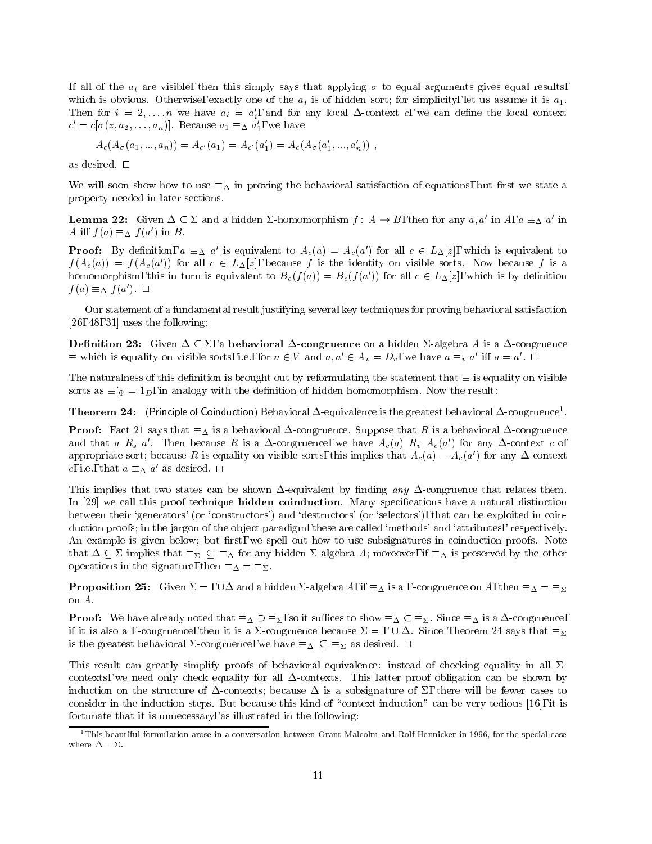If all of the  $a_i$  are visible, then this simply says that applying  $\sigma$  to equal arguments gives equal results, which is obvious. Otherwise, exactly one of the  $a_i$  is of hidden sort; for simplicity, let us assume it is  $a_1$ . Then for  $i = 2, \ldots, n$  we have  $a_i = a_i$ , and for any local  $\Delta$ -context c, we can define the local context  $c = c[\sigma(z, a_2, \ldots, a_n)]$ . Decause  $a_1 \equiv \Delta a_1$ , we have

$$
A_c(A_\sigma(a_1,...,a_n)) = A_{c'}(a_1) = A_{c'}(a'_1) = A_c(A_\sigma(a'_1,...,a'_n)) ,
$$

as desired.  $\square$ 

We will soon show how to use  $\equiv_{\Delta}$  in proving the behavioral satisfaction of equations, but first we state a property needed in later sections.

**Lemma 22:** Given  $\Delta \subseteq \Sigma$  and a hidden  $\Sigma$ -homomorphism  $f: A \rightarrow B$ , then for any  $a, a'$  in  $A, a \equiv_{\Delta} a'$  in A in  $f(a) = \Delta f(a)$  in B.

**Proof:** By definition,  $a \equiv_{\Delta} a$  is equivalent to  $A_c(a) \equiv A_c(a)$  for all  $c \in L_{\Delta}[\mathbb{Z}]$ , which is equivalent to  $f(A_c(a)) = f(A_c(a'))$  for all  $c \in L_{\Delta}[z]$ , because f is the identity on visible sorts. Now because f is a homomorphism, this in turn is equivalent to  $B_c(f(a)) = B_c(f(a'))$  for all  $c \in L_{\Delta}[z]$ , which is by definition  $f(a) = \Delta f(a)$ .  $\Box$ 

Our statement of a fundamental result justifying several key techniques for proving behavioral satisfaction [26, 48, 31] uses the following:

**Definition 23:** Given  $\Delta \subseteq \Sigma$ , a behavioral  $\Delta$ -congruence on a hidden  $\Sigma$ -algebra A is a  $\Delta$ -congruence  $\equiv$  which is equality on visible sorts, i.e., for  $v \in V$  and  $a, a' \in A_v = D_v$ , we have  $a \equiv_v a'$  iff  $a = a'$ .  $\Box$ 

The naturalness of this definition is brought out by reformulating the statement that  $\equiv$  is equality on visible sorts as  $\equiv \downarrow \Psi = 1_D$ , in analogy with the definition of hidden homomorphism. Now the result:

**Theorem 24:** (Principle of Coinduction) Behavioral  $\Delta$ -equivalence is the greatest behavioral  $\Delta$ -congruence<sup>-</sup>.

**Proof:** Fact 21 says that  $\equiv_{\Delta}$  is a behavioral  $\Delta$ -congruence. Suppose that R is a behavioral  $\Delta$ -congruence and that a R<sub>s</sub> a'. Then because R is a  $\Delta$ -congruence, we have  $A_c(a)$  R<sub>v</sub>  $A_c(a')$  for any  $\Delta$ -context c of appropriate sort; because R is equality on visible sorts, this implies that  $A_c(a) = A_c(a')$  for any  $\Delta$ -context c, i.e., that  $a \equiv_{\Delta} a'$  as desired.  $\Box$ 

This implies that two states can be shown  $\Delta$ -equivalent by finding any  $\Delta$ -congruence that relates them. In [29] we call this proof technique **hidden coinduction**. Many specifications have a natural distinction between their 'generators' (or 'constructors') and 'destructors' (or 'selectors'), that can be exploited in coinduction proofs; in the jargon of the object paradigm, these are called 'methods' and 'attributes,' respectively. An example is given below; but first, we spell out how to use subsignatures in coinduction proofs. Note that  $\Delta \subseteq \Sigma$  implies that  $\equiv_{\Sigma} \subseteq \equiv_{\Delta}$  for any hidden  $\Sigma$ -algebra A; moreover, if  $\equiv_{\Delta}$  is preserved by the other operations in the signature, then  $\equiv_{\Delta} = \equiv_{\Sigma}$ .

**Proposition 25:** Given  $\Sigma = \cup \Delta$  and a hidden  $\Sigma$ -algebra A, if  $\equiv_{\Delta}$  is a , -congruence on A, then  $\equiv_{\Delta} = \equiv_{\Sigma}$ on  $A$ .

**Proof:** We have already noted that  $\equiv_{\Delta} \supseteq \equiv_{\Sigma}$ , so it suffices to show  $\equiv_{\Delta} \subseteq \equiv_{\Sigma}$ . Since  $\equiv_{\Delta}$  is a  $\Delta$ -congruence, if it is also a, -congruence, then it is a  $\Sigma$ -congruence because  $\Sigma =$ ,  $\cup \Delta$ . Since Theorem 24 says that  $\equiv_{\Sigma}$ is the greatest behavioral  $\Sigma$ -congruence, we have  $\equiv_{\Delta} \subseteq \equiv_{\Sigma}$  as desired.  $\Box$ 

This result can greatly simplify proofs of behavioral equivalence: instead of checking equality in all  $\Sigma$ contexts, we need only check equality for all  $\Delta$ -contexts. This latter proof obligation can be shown by induction on the structure of  $\Delta$ -contexts; because  $\Delta$  is a subsignature of  $\Sigma$ , there will be fewer cases to consider in the induction steps. But because this kind of "context induction" can be very tedious [16], it is fortunate that it is unnecessary, as illustrated in the following:

 $1$ This beautiful formulation arose in a conversation between Grant Malcolm and Rolf Hennicker in 1996, for the special case where  $\Delta = \Sigma$ .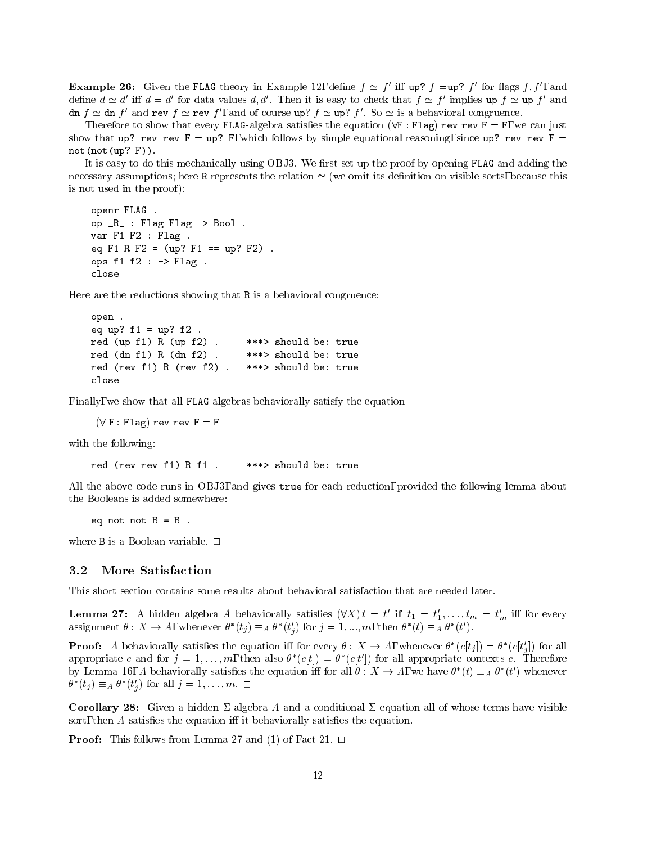**Example 26:** Given the FLAG theory in Example 12, define  $f \simeq f'$  iff up?  $f = \text{up? } f'$  for flags  $f, f'$ , and define  $d \simeq d'$  iff  $d = d'$  for data values d, d'. Then it is easy to check that  $f \simeq f'$  implies up  $f \simeq$  up  $f'$  and dn  $f \simeq$  dn  $f'$  and rev  $f \simeq$  rev  $f'$ , and of course up?  $f \simeq$  up?  $f'$ . So  $\simeq$  is a behavioral congruence.

Therefore to show that every FLAG-algebra satisfies the equation  $(\forall F : Flag)$  rev rev  $F = F$ , we can just show that up? rev rev  $F = up$ ? F, which follows by simple equational reasoning, since up? rev rev  $F =$ not(not(up? F)).

It is easy to do this mechanically using OBJ3. We first set up the proof by opening FLAG and adding the necessary assumptions; here R represents the relation  $\simeq$  (we omit its definition on visible sorts, because this is not used in the proof ):

```
openr FLAG .
op _R_ : Flag Flag -> Bool .
var F1 F2 : Flag .
eq F1 R F2 = (up? F1 == up? F2) .
ops f1 f2 : -> Flag .
close
```
Here are the reductions showing that R is a behavioral congruence:

```
open .
eq up? f1 = up? f2.
red (up f1) R (up f2) . ***> should be: true
red (dn f1) R (dn f2) . ***> should be: true
red (rev f1) R (rev f2) . ***> should be: true
close
```
Finally, we show that all FLAG-algebras behaviorally satisfy the equation

 $(\forall F : Flag)$  rev rev  $F = F$ 

with the following:

```
red (rev rev f1) R f1.
                            ***> should be: true
```
All the above code runs in OBJ3, and gives true for each reduction, provided the following lemma about the Booleans is added somewhere:

eq not not  $B = B$ .

where B is a Boolean variable.  $\Box$ 

### $3.2$

This short section contains some results about behavioral satisfaction that are needed later.

**Lemma 27:** A moden algebra A behaviorally satisfies  $(\forall x)$   $t = t$  **if**  $t_1 = t_1, \ldots, t_m = t_m$  in for every assignment  $\sigma: \ A \to A$ , whenever  $\sigma \ (t_j) = A \ \sigma \ (t_j)$  for  $j = 1, ..., m$ , then  $\sigma \ (t) = A \ \sigma \ (t)$ .

**Proof:** A behaviorally satismes the equation in for every  $\sigma: A \to A$ , whenever  $\sigma$   $(c[\iota_j]) = \sigma$   $(c[\iota_j])$  for all appropriate c and for  $j = 1, \ldots, m$ , then also  $\sigma$   $(c[i]) = \sigma$   $(c[i])$  for all appropriate contexts c. Therefore by Lemma 10, A behaviorally satisfies the equation in for all  $\sigma: \Lambda \to A$ , we have  $\sigma$   $(t) =_A \sigma$  (*t*) whenever  $\sigma$   $(t_j) = A \sigma$   $(t_j)$  for all  $j = 1, \ldots, m$ .

Corollary 28: Given a hidden  $\Sigma$ -algebra A and a conditional  $\Sigma$ -equation all of whose terms have visible sort, then  $A$  satisfies the equation iff it behaviorally satisfies the equation.

**Proof:** This follows from Lemma 27 and (1) of Fact 21.  $\Box$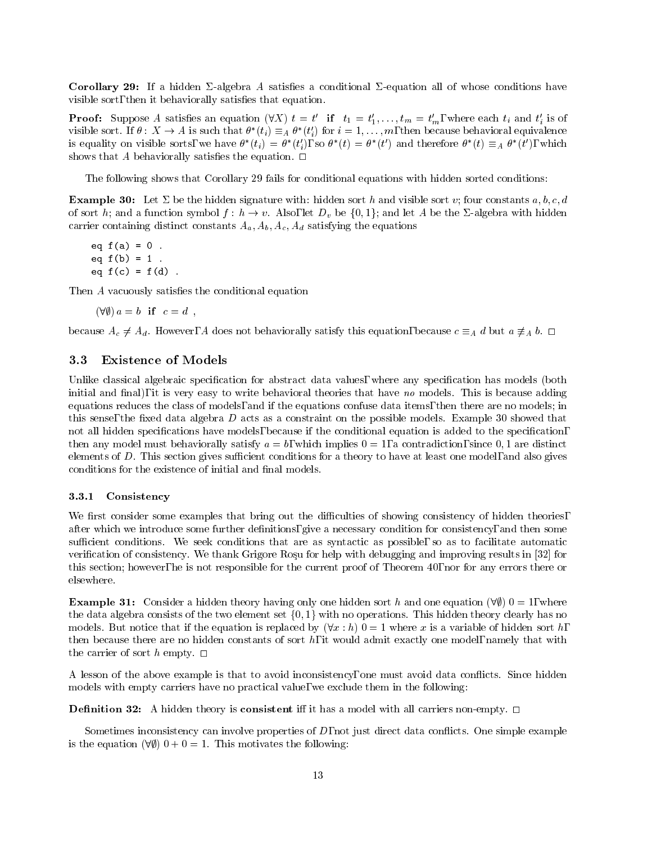**Corollary 29:** If a hidden  $\Sigma$ -algebra A satisfies a conditional  $\Sigma$ -equation all of whose conditions have visible sort, then it behaviorally satisfies that equation.

**Proof:** Suppose A satisfies an equation  $(\forall X)$   $t = t$  **if**  $t_1 = t_1, \ldots, t_m = t_m$ , where each  $t_i$  and  $t_i$  is of visible sort. If  $\sigma : A \to A$  is such that  $\sigma$   $(t_i) =_A \sigma$   $(t_i)$  for  $i = 1, \ldots, m$ , then because behavioral equivalence is equality on visible sorts, we have  $\sigma$   $(t_i) = \sigma$   $(t_i)$ , so  $\sigma$   $(t) = \sigma$   $(t)$  and therefore  $\sigma$   $(t) = A \sigma$   $(t)$ , which shows that A behaviorally satisfies the equation.  $\Box$ 

The following shows that Corollary 29 fails for conditional equations with hidden sorted conditions:

**Example 30:** Let  $\Sigma$  be the hidden signature with: hidden sort h and visible sort v; four constants a, b, c, d of sort h; and a function symbol  $f : h \to v$ . Also, let  $D_v$  be  $\{0,1\}$ ; and let A be the  $\Sigma$ -algebra with hidden carrier containing distinct constants  $A_a$ ,  $A_b$ ,  $A_c$ ,  $A_d$  satisfying the equations

eq  $f(a) = 0$ . eq  $f(b) = 1$ . eq  $f(c) = f(d)$ .

Then  $A$  vacuously satisfies the conditional equation

 $(\forall \emptyset)$   $a = b$  if  $c = d$ ,

because  $A_c \neq A_d$ . However, A does not behaviorally satisfy this equation, because  $c \equiv_A d$  but  $a \neq_A b$ .  $\Box$ 

## 3.3 Existence of Models

Unlike classical algebraic specification for abstract data values, where any specification has models (both initial and final), it is very easy to write behavioral theories that have no models. This is because adding equations reduces the class of models, and if the equations confuse data items, then there are no models; in this sense, the fixed data algebra  $D$  acts as a constraint on the possible models. Example 30 showed that not all hidden specifications have models, because if the conditional equation is added to the specification, then any model must behaviorally satisfy  $a = b$ , which implies  $0 = 1$ , a contradiction, since 0, 1 are distinct elements of  $D$ . This section gives sufficient conditions for a theory to have at least one model, and also gives conditions for the existence of initial and final models.

### 3.3.1 Consistency

We first consider some examples that bring out the difficulties of showing consistency of hidden theories. after which we introduce some further definitions, give a necessary condition for consistency, and then some sufficient conditions. We seek conditions that are as syntactic as possible, so as to facilitate automatic verification of consistency. We thank Grigore Rosu for help with debugging and improving results in [32] for this section; however, he is not responsible for the current proof of Theorem 40, nor for any errors there or elsewhere.

**Example 31:** Consider a hidden theory having only one hidden sort h and one equation  $(\forall \emptyset)$   $0 = 1$ , where the data algebra consists of the two element set  $\{0,1\}$  with no operations. This hidden theory clearly has no models. But notice that if the equation is replaced by  $(\forall x : h)$  0 = 1 where x is a variable of hidden sort h, then because there are no hidden constants of sort  $h$ , it would admit exactly one model, namely that with the carrier of sort h empty.  $\Box$ 

A lesson of the above example is that to avoid inconsistency, one must avoid data conflicts. Since hidden models with empty carriers have no practical value, we exclude them in the following:

**Definition 32:** A hidden theory is **consistent** iff it has a model with all carriers non-empty.  $\Box$ 

Sometimes inconsistency can involve properties of  $D$ , not just direct data conflicts. One simple example is the equation  $(\forall \emptyset)$  0 + 0 = 1. This motivates the following: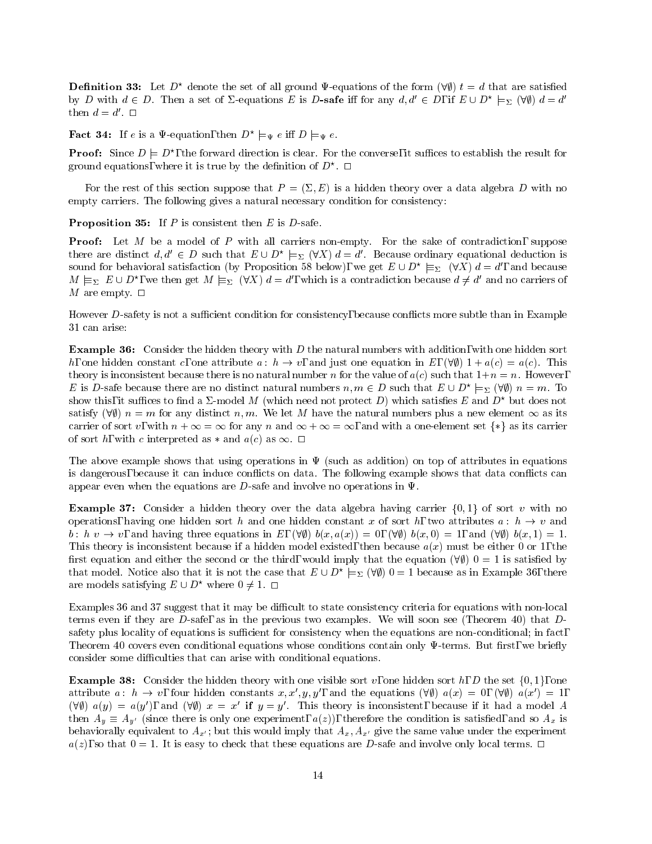**Definition 33:** Let  $D^*$  denote the set of all ground  $\Psi$ -equations of the form  $(\forall \emptyset)$   $t = d$  that are satisfied by D with  $a \in D$ . Then a set of 2-equations E is D-safe in for any  $a, a \in D$ , if  $E \cup D^ \models_{\Sigma}$  (VV)  $a = a$ then  $d = d'$ .  $\Box$ 

**ract 34:** If e is a v-equation, then  $D^{\circ} \models_{\Psi} e$  in  $D \models_{\Psi} e$ .

**Proof:** Since  $D \models D^{\sim}$ , the forward direction is clear. For the converse, it sumices to establish the result for ground equations, where it is true by the definition of  $\nu$  .  $\Box$ 

For the rest of this section suppose that  $P = (\Sigma, E)$  is a hidden theory over a data algebra D with no empty carriers. The following gives a natural necessary condition for consistency:

**Proposition 35:** If  $P$  is consistent then  $E$  is  $D$ -safe.

**Proof:** Let M be a model of P with all carriers non-empty. For the sake of contradiction, suppose there are distinct  $u, u \in D$  such that  $E \cup D$   $\models_{\Sigma} (V \Lambda)$   $u = u$ . Decause ordinary equational deduction is sound for behavioral satisfaction (by Proposition 58 below), we get  $E \cup D^- \models_{\Sigma}$  (VA)  $a \equiv a$  , and because  $M \models_{\Sigma} L \cup D$ , we then get  $M \models_{\Sigma} (V A) U = u$ , which is a contradiction because  $u \neq u$  and no carriers of M are empty.  $\square$ 

However D-safety is not a sufficient condition for consistency, because conflicts more subtle than in Example 31 can arise:

**Example 36:** Consider the hidden theory with  $D$  the natural numbers with addition, with one hidden sort h, one hidden constant c, one attribute  $a : h \to v$ , and just one equation in E,  $(\forall \emptyset)$   $1 + a(c) = a(c)$ . This theory is inconsistent because there is no natural number n for the value of  $a(c)$  such that  $1+n = n$ . However, E is D-safe because there are no distinct natural numbers  $n, m \in D$  such that  $E \cup D^ \models_{\Sigma}$  (VV)  $n = m$ . To show this, it suffices to find a  $\Sigma$ -model M (which need not protect D) which satisfies E and  $D^*$  but does not satisfy  $(\forall \emptyset)$   $n = m$  for any distinct n, m. We let M have the natural numbers plus a new element  $\infty$  as its carrier of sort v, with  $n + \infty = \infty$  for any n and  $\infty + \infty = \infty$ , and with a one-element set  $\{*\}$  as its carrier of sort h, with c interpreted as  $*$  and  $a(c)$  as  $\infty$ .  $\Box$ 

The above example shows that using operations in  $\Psi$  (such as addition) on top of attributes in equations is dangerous, because it can induce conflicts on data. The following example shows that data conflicts can appear even when the equations are D-safe and involve no operations in  $\Psi$ .

**Example 37:** Consider a hidden theory over the data algebra having carrier  $\{0,1\}$  of sort v with no operations, having one hidden sort h and one hidden constant x of sort h, two attributes a : h ! <sup>v</sup> and  $b: h \, v \to v$ , and having three equations in E,  $(\forall \emptyset) b(x, a(x)) = 0$ ,  $(\forall \emptyset) b(x, 0) = 1$ , and  $(\forall \emptyset) b(x, 1) = 1$ . This theory is inconsistent because if a hidden model existed, then because  $a(x)$  must be either 0 or 1, the first equation and either the second or the third, would imply that the equation  $(\forall \emptyset)$   $0 = 1$  is satisfied by that model. Notice also that it is not the case that  $E \cup D^{\circ} \models_{\Sigma} (V\psi)$   $0 \equiv 1$  because as in Example 30, there are models satisfying  $E \cup D^*$  where  $0 \neq 1$ .  $\Box$ 

Examples 36 and 37 suggest that it may be difficult to state consistency criteria for equations with non-local terms even if they are D-safe, as in the previous two examples. We will soon see (Theorem 40) that D safety plus locality of equations is sufficient for consistency when the equations are non-conditional; in fact, Theorem 40 covers even conditional equations whose conditions contain only  $\Psi$ -terms. But first, we briefly consider some difficulties that can arise with conditional equations.

**Example 38:** Consider the hidden theory with one visible sort v, one hidden sort h, D the set  $\{0, 1\}$ , one attribute  $a: n \to v$ , four hidden constants  $x, x, y, y$ , and the equations (VV)  $a(x) = 0$ , (VV)  $a(x) = 1$ ,  $(\forall \emptyset)$   $a(y) = a(y')$ , and  $(\forall \emptyset)$   $x = x'$  if  $y = y'$ . This theory is inconsistent, because if it had a model A then  $A_y \equiv A_{y'}$  (since there is only one experiment,  $a(z)$ ), therefore the condition is satisfied, and so  $A_x$  is behaviorally equivalent to  $A_{x'}$ ; but this would imply that  $A_{x}, A_{x'}$  give the same value under the experiment  $a(z)$ , so that  $0 = 1$ . It is easy to check that these equations are D-safe and involve only local terms.  $\Box$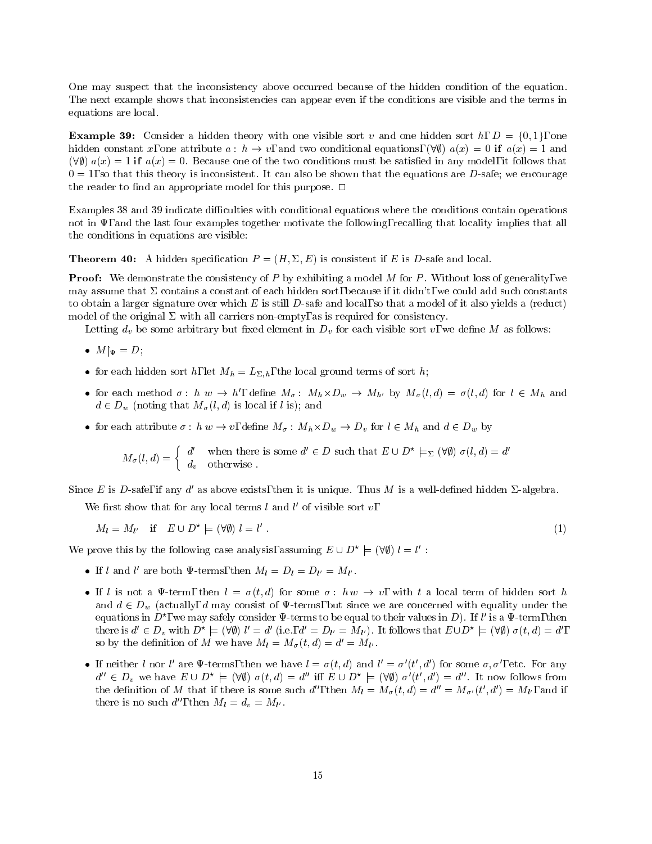One may suspect that the inconsistency above occurred because of the hidden condition of the equation. The next example shows that inconsistencies can appear even if the conditions are visible and the terms in equations are local.

**Example 39:** Consider a hidden theory with one visible sort v and one hidden sort h,  $D = \{0, 1\}$ , one hidden constant x, one attribute  $a: h \to v$ , and two conditional equations,  $(\forall \emptyset)$   $a(x) = 0$  if  $a(x) = 1$  and  $(\forall \emptyset)$   $a(x) = 1$  if  $a(x) = 0$ . Because one of the two conditions must be satisfied in any model, it follows that  $0 = 1$ , so that this theory is inconsistent. It can also be shown that the equations are D-safe; we encourage the reader to find an appropriate model for this purpose.  $\Box$ 

Examples 38 and 39 indicate difficulties with conditional equations where the conditions contain operations not in  $\Psi$ , and the last four examples together motivate the following, recalling that locality implies that all the conditions in equations are visible:

**Theorem 40:** A hidden specification  $P = (H, \Sigma, E)$  is consistent if E is D-safe and local.

**Proof:** We demonstrate the consistency of P by exhibiting a model M for P. Without loss of generality, we may assume that  $\Sigma$  contains a constant of each hidden sort, because if it didn't, we could add such constants to obtain a larger signature over which E is still D-safe and local, so that a model of it also yields a (reduct) model of the original  $\Sigma$  with all carriers non-empty, as is required for consistency.

Letting  $d_v$  be some arbitrary but fixed element in  $D_v$  for each visible sort v, we define M as follows:

- $M|\Psi = D;$
- for each hidden sort h, let  $M_h = L_{\Sigma,h}$ , the local ground terms of sort h;
- for each method  $\sigma : h \, w \to h$ , define  $M_{\sigma} : M_h \times D_w \to M_{h'}$  by  $M_{\sigma}(i, a) = \sigma(i, a)$  for  $i \in M_h$  and  $\alpha$  and  $\alpha$  is the M(line is local if it local intervals) is local if it is local if it is local if it is local if it is local if it is local if it is local intervals in the interval interval in the interval interval in
- for each contribute  $\cdots$  in the set of  $\cdots$  and  $\cdots$  in  $\cdots$  ,  $\cdots$  ,  $\cdots$  ,  $\cdots$  ,  $\cdots$  ,  $\cdots$  ,  $\cdots$  ,  $\cdots$  ,  $\cdots$  ,  $\cdots$  ,  $\cdots$  ,  $\cdots$  ,  $\cdots$  ,  $\cdots$  ,  $\cdots$  ,  $\cdots$  ,  $\cdots$  ,  $\cdots$  ,  $\cdots$  ,  $\cdots$  ,  $\$

$$
M_{\sigma}(l,d) = \begin{cases} d' & \text{when there is some } d' \in D \text{ such that } E \cup D^* \models_{\Sigma} (\forall \emptyset) \sigma(l,d) = d' \\ d_v & \text{otherwise.} \end{cases}
$$

Since E is D-safe, if any d' as above exists, then it is unique. Thus M is a well-defined hidden  $\Sigma$ -algebra.

We first show that for any local terms  $\iota$  and  $\iota$  of visible sort  $v$ ,

$$
M_l = M_{l'} \quad \text{if} \quad E \cup D^* \models (\forall \emptyset) \ l = l' \tag{1}
$$

We prove this by the following case analysis, assuming  $E \cup D^{\circ} \models (\forall \psi) \ i \equiv i$ :

- If and a are both **y**-terms, then  $M_l = D_l = D_{l'} = M_{l'}$ .
- If l is not a  $\Psi$ -term, then  $l = \sigma(t, d)$  for some  $\sigma: h w \to v$ , with t a local term of hidden sort h and d 2 Dw (actually, d may consist of  $\alpha$  may consist of  $\alpha$  are concerned with equality under the concerned with equality under the concerned with equality under the concerned with equality under the concerned with eq equations in  $D$  , we may safely consider  $\Psi$ -terms to be equal to their values in  $D$ ). If  $\iota$  is a  $\Psi$ -term, then there is  $a^{\top} \in D_v$  with  $D^{\top} \models (\forall \ell) | \ell = a^{\top} (1,e_i, a^{\top} \equiv D\ell' \equiv M\ell')$ . It follows that  $E \cup D^{\top} \models (\forall \ell) \sigma(\ell, a) = a$ , so by the definition of M we have  $M_l = M_{\sigma}(t, a) = a_{l} = M_{l'}$ .
- If neither *l* nor *l* are **y**-terms, then we have  $\iota = \sigma(\iota, u)$  and  $\iota = \sigma(\iota, u)$  for some  $\sigma, \sigma$ , etc. For any  $a \in D_v$  we have  $E \cup D \models (\forall \psi) \; \sigma(t, u) \equiv a \; \; \text{ in } \; E \cup D \; \models (\forall \psi) \; \sigma(t, u) \equiv a \; \text{ in now follows from }$ the definition of M that if there is some such  $a_-,$  then  $M_l = M_\sigma(t,a) = a_- = M_{\sigma'}(t\ ,a_-) = M_{l'},$  and if there is no such  $a_-,$  then  $M_l = a_v = M_{l'}$ .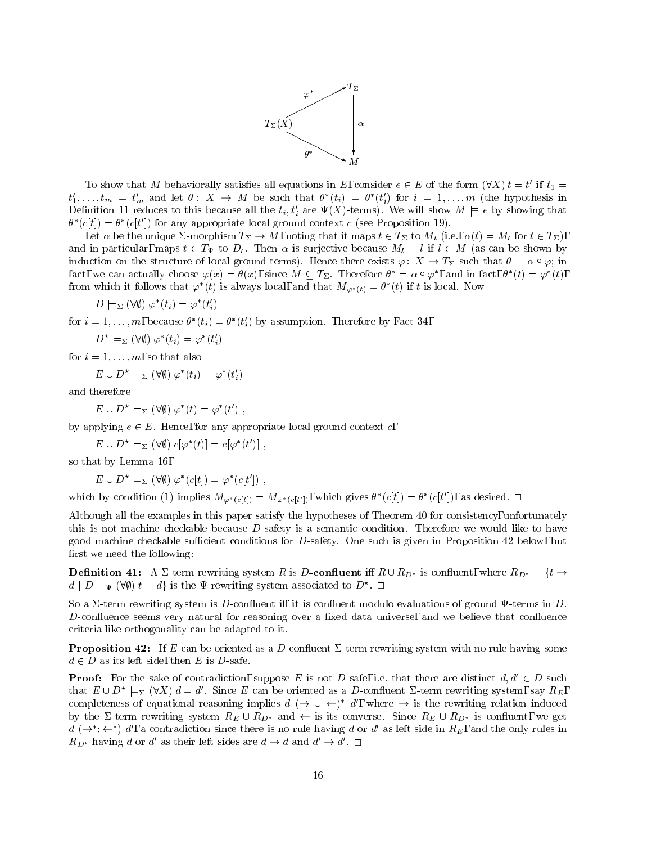

To show that M behaviorally satisfies all equations in E, consider  $e \in E$  of the form  $(\forall X)$   $t = t$  if  $t_1 =$  $t_1,\ldots,t_m = t_m$  and let  $\sigma: \Lambda \to M$  be such that  $\sigma$   $(t_i) = \sigma$   $(t_i)$  for  $i = 1,\ldots,m$  (the hypothesis in Definition 11 reduces to this because all the  $t_i, t'_i$  are  $\Psi(X)$ -terms). We will show  $M \equiv e$  by showing that  $\sigma$  (c[t])  $\equiv \sigma$  (c[t]) for any appropriate local ground context c (see Proposition 19).

Let  $\alpha$  be the unique  $\Sigma$ -morphism  $T_{\Sigma} \to M$ , noting that it maps  $t \in T_{\Sigma}$  to  $M_t$  (i.e.,  $\alpha(t) = M_t$  for  $t \in T_{\Sigma}$ ), and in particular, maps  $t \in T_{\Psi}$  to  $D_t$ . Then  $\alpha$  is surjective because  $M_l = l$  if  $l \in M$  (as can be shown by induction on the structure of local ground terms). Hence there exists  $\varphi : X \to T_{\Sigma}$  such that  $\theta = \alpha \circ \varphi$ ; in ract, we can actually choose  $\varphi(x) = \theta(x)$ , since  $M \subseteq I_{\Sigma}$ . Therefore  $\theta^* = \alpha \circ \varphi^*$ , and in fact,  $\theta^*(t) = \varphi^*(t)$ , from which it follows that  $\varphi^-(t)$  is always local, and that  $M_{\varphi^*(t)} = \theta^-(t)$  if the local. Now

$$
D \models_{\Sigma} (\forall \emptyset) \varphi^*(t_i) = \varphi^*(t_i')
$$

for  $i = 1, \ldots, m$ , because  $\theta$   $(i_i) = \theta$   $(i_j)$  by assumption. Therefore by Fact 34,

$$
D^{\star} \models_{\Sigma} (\forall \emptyset) \ \varphi^*(t_i) = \varphi^*(t_i')
$$

for  $i = 1, \ldots, m$ , so that also

$$
E \cup D^* \models_{\Sigma} (\forall \emptyset) \varphi^*(t_i) = \varphi^*(t_i')
$$

and therefore

$$
E \cup D^* \models_{\Sigma} (\forall \emptyset) \varphi^*(t) = \varphi^*(t'),
$$

by applying  $e \in E$ . Hence, for any appropriate local ground context c,

 $E \cup D^{\sim} \models_{\Sigma} (\forall \Psi) c[\varphi](t)] = c[\varphi](t)$ ],

so that by Lemma 16,

$$
E \cup D^* \models_{\Sigma} (\forall \emptyset) \varphi^*(c[t]) = \varphi^*(c[t']) ,
$$

which by condition (1) implies  $M_{\varphi^*(c[t])} = M_{\varphi^*(c[t'])}$ , which gives  $\sigma$  ( $c[t]$ ) =  $\sigma$  ( $c[t]$ ), as desired.  $\Box$ 

Although all the examples in this paper satisfy the hypotheses of Theorem 40 for consistency, unfortunately this is not machine checkable because D-safety is a semantic condition. Therefore we would like to have good machine checkable sufficient conditions for  $D$ -safety. One such is given in Proposition 42 below, but first we need the following:

**Definition 41:** A  $\Sigma$ -term rewriting system R is D-confluent iff  $R \cup R_{D^*}$  is confluent, where  $R_{D^*} = \{t \rightarrow$  $a \mid D \models_{\Psi} (vv)$   $i = a$  is the **y**-rewriting system associated to  $D^{\sim}$ .  $\Box$ 

So a  $\Sigma$ -term rewriting system is D-confluent iff it is confluent modulo evaluations of ground  $\Psi$ -terms in D. D-confluence seems very natural for reasoning over a fixed data universe, and we believe that confluence criteria like orthogonality can be adapted to it.

**Proposition 42:** If E can be oriented as a D-confluent  $\Sigma$ -term rewriting system with no rule having some d 2 D as its left side, then E is D-safet.

**Proof:** For the sake of contradiction, suppose E is not D-safe, i.e. that there are distinct  $d, d' \in D$  such that  $E \cup D^{\sim} \models_{\Sigma} (\forall \Lambda)$   $a = a$  . Since E can be oriented as a D-connuent 2-term rewriting system, say  $\pi_E$ , completeness of equational reasoning implies  $d (\to \cup \leftarrow)^* d'$ , where  $\to$  is the rewriting relation induced by the  $\Sigma$ -term rewriting system  $R_E \cup R_{D^*}$  and  $\leftarrow$  is its converse. Since  $R_E \cup R_{D^*}$  is confluent, we get  $a \ (\rightarrow \ ; \leftarrow \ )\ a\ ,$  a contradiction since there is no rule having  $a$  or  $a$  -as left side in  $\pi_E,$  and the only rules in  $R_{D^*}$  having d or d' as their left sides are  $d \to d$  and  $d' \to d'$ .  $\Box$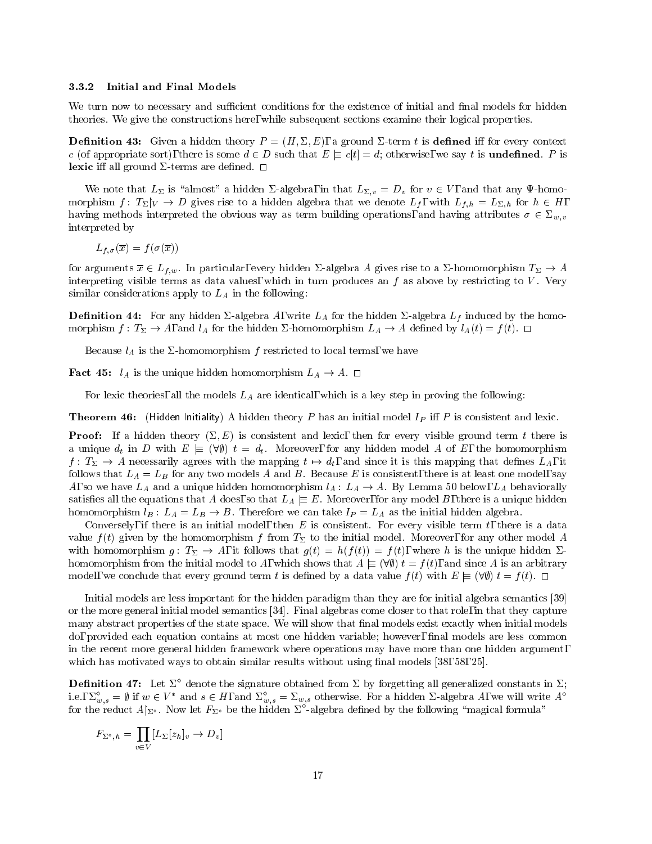### 3.3.2 Initial and Final Models

We turn now to necessary and sufficient conditions for the existence of initial and final models for hidden theories. We give the constructions here, while subsequent sections examine their logical properties.

**Definition 43:** Given a hidden theory  $P = (H, \Sigma, E)$ , a ground  $\Sigma$ -term t is **defined** iff for every context c (of appropriate sort), there is some  $d \in D$  such that  $E \equiv c[t] = d$ ; otherwise, we say t is **undefined**. P is **lexic** iff all ground  $\Sigma$ -terms are defined.  $\square$ 

We note that  $L_{\Sigma}$  is "almost" a hidden  $\Sigma$ -algebra, in that  $L_{\Sigma,v} = D_v$  for  $v \in V$ , and that any  $\Psi$ -homomorphism  $f: T_{\Sigma}|_V \to D$  gives rise to a hidden algebra that we denote  $L_f$ , with  $L_{f,h} = L_{\Sigma,h}$  for  $h \in H$ , having methods interpreted the obvious way as term building operations, and having attributes  $\sigma \in \Sigma_{w,v}$ interpreted by

$$
L_{f,\sigma}(\overline{x}) = f(\sigma(\overline{x}))
$$

for arguments  $\overline{x} \in L_{f,w}$ . In particular, every hidden  $\Sigma$ -algebra A gives rise to a  $\Sigma$ -homomorphism  $T_{\Sigma} \to A$ interpreting visible terms as data values, which in turn produces an  $f$  as above by restricting to  $V$ . Very similar considerations apply to  $L_A$  in the following:

**Definition 44:** For any hidden  $\Sigma$ -algebra A, write  $L_A$  for the hidden  $\Sigma$ -algebra  $L_f$  induced by the homomorphism  $f: T_{\Sigma} \to A$ , and  $l_A$  for the hidden  $\Sigma$ -homomorphism  $L_A \to A$  defined by  $l_A(t) = f(t)$ .  $\Box$ 

Because  $l_A$  is the  $\Sigma$ -homomorphism f restricted to local terms, we have

**Fact 45:**  $l_A$  is the unique hidden homomorphism  $L_A \rightarrow A$ .  $\Box$ 

For lexic theories, all the models  $L_A$  are identical, which is a key step in proving the following:

**Theorem 46:** (Hidden Initiality) A hidden theory P has an initial model  $I_P$  iff P is consistent and lexic.

**Proof:** If a hidden theory  $(\Sigma, E)$  is consistent and lexic, then for every visible ground term t there is a unique  $d_t$  in D with  $E \equiv (\forall \emptyset)$   $t=d_t$ . Moreover, for any hidden model A of E, the homomorphism  $f: T_{\Sigma} \to A$  necessarily agrees with the mapping  $t \mapsto d_t$ , and since it is this mapping that defines  $L_A$ , it follows that  $L_A = L_B$  for any two models A and B. Because E is consistent, there is at least one model, say A, so we have  $L_A$  and a unique hidden homomorphism  $l_A: L_A \rightarrow A$ . By Lemma 50 below,  $L_A$  behaviorally satisfies all the equations that A does, so that  $L_A \equiv E$ . Moreover, for any model B, there is a unique hidden homomorphism  $l_B: L_A = L_B \rightarrow B$ . Therefore we can take  $I_P = L_A$  as the initial hidden algebra.

Conversely, if there is an initial model, then  $E$  is consistent. For every visible term  $t$ , there is a data value  $f(t)$  given by the homomorphism f from  $T_{\Sigma}$  to the initial model. Moreover, for any other model A with homomorphism  $g: T_{\Sigma} \to A$ , it follows that  $g(t) = h(f(t)) = f(t)$ , where h is the unique hidden  $\Sigma$ homomorphism from the initial model to A, which shows that  $A \equiv (\forall \emptyset) t = f(t)$ , and since A is an arbitrary model, we conclude that every ground term t is defined by a data value  $f(t)$  with  $E \equiv (\forall \emptyset) t = f(t)$ .  $\Box$ 

Initial models are less important for the hidden paradigm than they are for initial algebra semantics [39] or the more general initial model semantics [34]. Final algebras come closer to that role, in that they capture many abstract properties of the state space. We will show that final models exist exactly when initial models do, provided each equation contains at most one hidden variable; however, final models are less common in the recent more general hidden framework where operations may have more than one hidden argument, which has motivated ways to obtain similar results without using final models [38, 58, 25].

**Definition 47:** Let  $\Sigma^{\circ}$  denote the signature obtained from  $\Sigma$  by forgetting all generalized constants in  $\Sigma$ ; i.e.,  $\Sigma_{w,s} = \emptyset$  if  $w \in V$  and  $s \in H$ , and  $\Sigma_{w,s} = \Sigma_{w,s}$  otherwise. For a hidden 2-algebra A, we will write A for the reduct  $A|_{\Sigma^\diamond}$ . Now let  $F_{\Sigma^\diamond}$  be the hidden  $\Sigma$  -algebra defined by the following "magical formula"

$$
F_{\Sigma^{\circ},h} = \prod_{v \in V} [L_{\Sigma}[z_h]_v \to D_v]
$$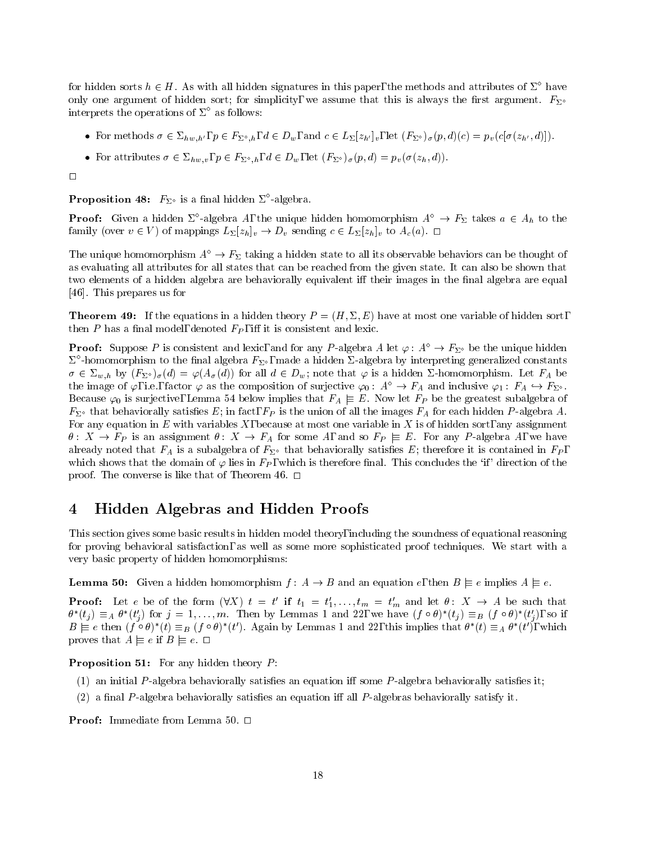for hidden sorts  $h \in H$ . As with all hidden signatures in this paper, the methods and attributes of  $\Sigma^{\diamond}$  have only one argument of hidden sort; for simplicity, we assume that this is always the first argument.  $F_{\Sigma}$ interprets the operations of  $\Sigma^{\diamond}$  as follows:

- For methods 2 hw;h0 , <sup>p</sup> 2 F ;h, <sup>d</sup> <sup>2</sup> Dw, and <sup>c</sup> <sup>2</sup> L[zh0 ]v , let (F ) (p; d)(c) = pv (c[(zh0 ; d)]).
- For attribution  $2 \le \frac{m}{2}$  is properly in the  $2 \le \frac{m}{2}$  in the  $2 \le \frac{m}{2}$ . The  $\frac{m}{2}$  is  $\frac{m}{2}$  in the  $\frac{m}{2}$

 $\Box$ 

**Proposition 48:**  $F_{\Sigma}$  is a final nidden  $\Sigma$  -algebra.

**Proof:** Given a midden 2 -algebra A, the unique hidden homomorphism  $A^* \to F_{\Sigma}$  takes  $a \in A_h$  to the family (over  $v \in V$ ) of mappings  $L_{\Sigma}[z_h]_v \to D_v$  sending  $c \in L_{\Sigma}[z_h]_v$  to  $A_c(a)$ .  $\Box$ 

The unique homomorphism  $A^{\circ} \to F_{\Sigma}$  taking a hidden state to all its observable behaviors can be thought of as evaluating all attributes for all states that can be reached from the given state. It can also be shown that two elements of a hidden algebra are behaviorally equivalent iff their images in the final algebra are equal [46]. This prepares us for

**Theorem 49:** If the equations in a hidden theory  $P = (H, \Sigma, E)$  have at most one variable of hidden sort, then  $P$  has a final model, denoted  $F_P$ , iff it is consistent and lexic.

**Proof:** Suppose P is consistent and lexic, and for any P-algebra A let  $\varphi: A^{\diamond} \to F_{\Sigma^{\diamond}}$  be the unique hidden  $\vartriangle$  -nomomorphism to the final algebra  $F_{\Sigma^{\diamond}},$  made a hidden  $\vartriangle$ -algebra by interpreting generalized constants  $\sigma\in \Sigma_{w,h}$  by  $(F_{\Sigma^\diamond})_\sigma(a)=\varphi(A_\sigma(a))$  for all  $a\in D_w;$  note that  $\varphi$  is a hidden  $\Sigma$ -homomorphism. Let  $F_A$  be the image of  $\varphi$ , i.e., factor  $\varphi$  as the composition of surjective  $\varphi_0 : A^{\circ} \to F_A$  and inclusive  $\varphi_1 : F_A \hookrightarrow F_{\Sigma^{\circ}}$ . Because  $\varphi_0$  is surjective, Lemma 54 below implies that  $F_A \models E$ . Now let  $F_P$  be the greatest subalgebra of  $F_{\Sigma}$  that behaviorally satisfies E; in fact,  $F_P$  is the union of all the images  $F_A$  for each hidden P-algebra A. For any equation in  $E$  with variables  $X$ , because at most one variable in  $X$  is of hidden sort, any assignment : X  $\mathbf{A}$  , and assignment in a formulation  $\mathbf{A}$  for any P  $\mathbf{A}$  for any P  $\mathbf{A}$  -algebra  $\mathbf{A}$ already noted that  $F_A$  is a subalgebra of  $F_{\Sigma}$  that behaviorally satisfies E; therefore it is contained in  $F_P$ , which shows that the domain of  $\varphi$  lies in  $F_P$ , which is therefore final. This concludes the 'if' direction of the proof. The converse is like that of Theorem 46.  $\Box$ 

## 4 Hidden Algebras and Hidden Proofs

This section gives some basic results in hidden model theory, including the soundness of equational reasoning for proving behavioral satisfaction, as well as some more sophisticated proof techniques. We start with a very basic property of hidden homomorphisms:

**Lemma 50:** Given a hidden homomorphism  $f : A \rightarrow B$  and an equation e, then  $B \models e$  implies  $A \models e$ .

**Proof:** Let e be of the form  $(\forall X)$   $t = t$  if  $t_1 = t_1, \ldots, t_m = t_m$  and let  $\theta: X \rightarrow A$  be such that  $\sigma$   $(t_j) = A$   $\sigma$   $(t_j)$  for  $j = 1, \ldots, m$ . Then by Lemmas 1 and 22, we have  $(J \circ \sigma)$   $(t_j) = B$   $(J \circ \sigma)$   $(t_j)$ , so if  $B \models e$  then  $(f \circ \theta)$   $(t) \equiv_B (f \circ \theta)$   $(t)$ . Again by Lemmas 1 and 22, this implies that  $\theta$   $(t) \equiv_A \theta$   $(t)$ , which proves that  $A \equiv e$  if  $B \equiv e$ .  $\Box$ 

**Proposition 51:** For any hidden theory  $P$ :

- $(1)$  an initial P-algebra behaviorally satisfies an equation iff some P-algebra behaviorally satisfies it;
- $(2)$  a final P-algebra behaviorally satisfies an equation iff all P-algebras behaviorally satisfy it.

**Proof:** Immediate from Lemma 50.  $\Box$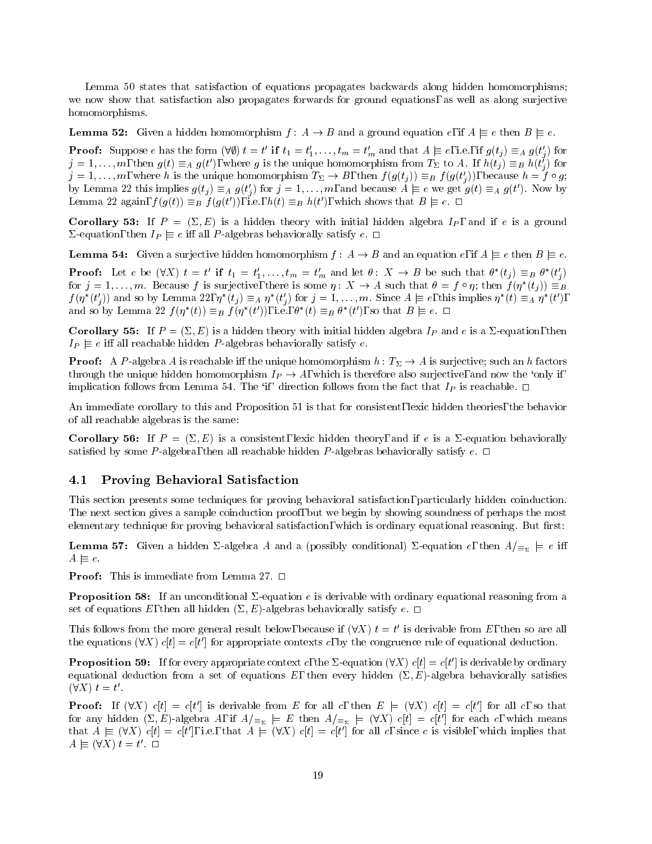Lemma 50 states that satisfaction of equations propagates backwards along hidden homomorphisms; we now show that satisfaction also propagates forwards for ground equations, as well as along surjective homomorphisms.

**Lemma 52:** Given a hidden homomorphism  $f: A \rightarrow B$  and a ground equation e, if  $A \equiv e$  then  $B \equiv e$ .

**Proof:** Suppose e has the form  $(v\psi)$   $t = t$  if  $t_1 = t_1, \ldots, t_m = t_m$  and that  $A = e$ , i.e., if  $g(t_j) = A g(t_j)$  for  $j = 1, \ldots, m$ , then  $g(t) = A g(t)$ , where g is the unique homomorphism from  $T_{\Sigma}$  to A. If  $n(t_j) = B n(t_j)$  for  $j = 1, \ldots, m$ , where h is the unique homomorphism  $T_{\Sigma} \to D$ , then  $f(g(t_j)) = B f(g(t_j))$ , because  $h = f \circ g$ ; by Lemma 22 this implies  $g(t_j) = A g(t_j)$  for  $j = 1, \ldots, m$ , and because  $A \models e$  we get  $g(t) = A g(t)$ . Now by Lemma 22 again,  $f(g(t)) = B f(g(t))$ , i.e.,  $h(t) = B h(t)$ , which shows that  $B \models e$ .

Corollary 53: If  $P = (\Sigma, E)$  is a hidden theory with initial hidden algebra  $I_P$ , and if e is a ground  $\Sigma$ -equation, then  $I_P \models e$  iff all P-algebras behaviorally satisfy  $e \square$ 

**Lemma 54:** Given a surjective hidden homomorphism  $f : A \rightarrow B$  and an equation e, if  $A \equiv e$  then  $B \equiv e$ .

**Proof:** Let  $e$  be  $(\forall X)$   $t \equiv t$  if  $t_1 \equiv t_1, \ldots, t_m \equiv t_m$  and let  $\sigma: X \to D$  be such that  $\sigma$   $(t_j) = B$   $\sigma$   $(t_j)$ for  $j = 1, \ldots, m$ . Decause f is surjective, there is some  $\eta \colon \Lambda \to A$  such that  $\sigma = j \circ \eta$ ; then  $j(\eta \mid (i_j)) = B$  $f(\eta)(i_j)$  and so by Lemma 22,  $\eta(i_j) = A \eta(i_j)$  for  $j = 1, \ldots, m$ . Since  $A \models e$ , this implies  $\eta(i) = A \eta(i_j)$ , and so by Lemma 22  $f(\eta_-(t)) = B f(\eta_-(t))$ , i.e.,  $\sigma_-(t) = B \sigma_-(t)$ , so that  $D = e$ .  $\Box$ 

**Corollary 55:** If  $P = (\Sigma, E)$  is a hidden theory with initial hidden algebra  $I_P$  and e is a  $\Sigma$ -equation, then  $I_P \equiv e$  iff all reachable hidden P-algebras behaviorally satisfy e.

**Proof:** A P-algebra A is reachable iff the unique homomorphism  $h: T_{\Sigma} \to A$  is surjective; such an h factors through the unique hidden homomorphism  $I_P \rightarrow A$ , which is therefore also surjective, and now the 'only if' implication follows from Lemma 54. The 'if' direction follows from the fact that  $I_P$  is reachable.  $\Box$ 

An immediate corollary to this and Proposition 51 is that for consistent, lexic hidden theories, the behavior of all reachable algebras is the same:

**Corollary 56:** If  $P = (\Sigma, E)$  is a consistent, lexic hidden theory, and if e is a  $\Sigma$ -equation behaviorally satisfied by some P-algebra, then all reachable hidden P-algebras behaviorally satisfy  $e$ .  $\Box$ 

## 4.1 Proving Behavioral Satisfaction

This section presents some techniques for proving behavioral satisfaction, particularly hidden coinduction. The next section gives a sample coinduction proof, but we begin by showing soundness of perhaps the most elementary technique for proving behavioral satisfaction, which is ordinary equational reasoning. But first:

**Lemma 57:** Given a hidden  $\Sigma$ -algebra A and a (possibly conditional)  $\Sigma$ -equation e, then  $A|_{\Xi_{\Sigma}}$   $\models$  e iff A junior control of the control of the control of the control of the control of the control of the control of

**Proof:** This is immediate from Lemma 27.  $\Box$ 

**Proposition 58:** If an unconditional  $\Sigma$ -equation e is derivable with ordinary equational reasoning from a set of equations E, then all hidden  $(\Sigma, E)$ -algebras behaviorally satisfy  $e. \square$ 

This follows from the more general result below, because if  $(\forall X)$   $t = t$  is derivable from E, then so are all the equations (VA)  $c[t] = c[t]$  for appropriate contexts  $c$ , by the congruence rule of equational deduction.

**Proposition 59:** If for every appropriate context c, the  $\mathbb{Z}$ -equation (VA) c[t] = c[t] is derivable by ordinary equational deduction from a set of equations E, then every hidden  $(\Sigma, E)$ -algebra behaviorally satisfies  $(\forall A) \; t = t$ .

**Proof:** If  $(\forall A)$   $c[t] = c[t]$  is derivable from E for all c, then  $E = (\forall A)$   $c[t] = c[t]$  for all c, so that for any muden  $(z, E)$ -algebra A, if  $A/\equiv_{\Sigma} \models E$  then  $A/\equiv_{\Sigma} \models (\forall A)$  c[t] = c[t] for each c, which means that  $A \models (8X)$  c[t]  $\equiv c[t]$ , i.e., that  $A \models (8X)$  c[t]  $\equiv c[t]$  for an c, since c is visible, which implies that  $A \models (\forall \Lambda) \; t \equiv t$ .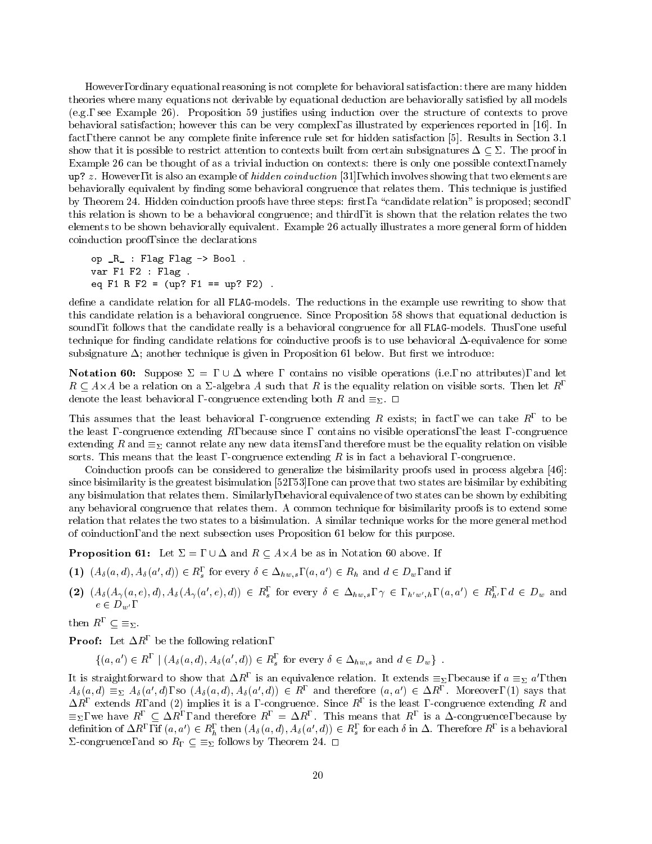However, ordinary equational reasoning is not complete for behavioral satisfaction: there are many hidden theories where many equations not derivable by equational deduction are behaviorally satisfied by all models (e.g., see Example 26). Proposition 59 justies using induction over the structure of contexts to prove behavioral satisfaction; however this can be very complex, as illustrated by experiences reported in [16]. In fact, there cannot be any complete finite inference rule set for hidden satisfaction [5]. Results in Section 3.1 show that it is possible to restrict attention to contexts built from certain subsignatures  $\Delta \subseteq \Sigma$ . The proof in Example 26 can be thought of as a trivial induction on contexts: there is only one possible context, namely up?  $z$ . However, it is also an example of *hidden coinduction* [31], which involves showing that two elements are behaviorally equivalent by finding some behavioral congruence that relates them. This technique is justified by Theorem 24. Hidden coinduction proofs have three steps: first, a "candidate relation" is proposed; second, this relation is shown to be a behavioral congruence; and third, it is shown that the relation relates the two elements to be shown behaviorally equivalent. Example 26 actually illustrates a more general form of hidden coinduction proof, since the declarations

op \_R\_ : Flag Flag -> Bool . var F1 F2 : Flag . eq F1 R F2 = (up? F1 == up? F2) .

define a candidate relation for all FLAG-models. The reductions in the example use rewriting to show that this candidate relation is a behavioral congruence. Since Proposition 58 shows that equational deduction is sound, it follows that the candidate really is a behavioral congruence for all FLAG-models. Thus, one useful technique for finding candidate relations for coinductive proofs is to use behavioral  $\Delta$ -equivalence for some subsignature  $\Delta$ ; another technique is given in Proposition 61 below. But first we introduce:

**Notation 60:** Suppose  $\Sigma = \psi \cup \Delta$  where  $\psi$  contains no visible operations (i.e., no attributes), and let  $R\subseteq A\times A$  be a relation on a  $\vartriangle$ -algebra A such that  $R$  is the equality relation on visible sorts. Then let  $R$ denote the least behavioral, -congruence extending both R and  $\equiv_{\Sigma}$ .  $\Box$ 

This assumes that the least behavioral , congruence extending  $R$  exists; in fact, we can take  $R^+$  to be the least, -congruence extending  $R$ , because since, contains no visible operations, the least, -congruence extending random relations relations and the equality relations on visible  $\mu$  relation on visible equality relation on visible equality relation on visible equality relation on visible equality relation on visible equal sorts. This means that the least, -congruence extending  $R$  is in fact a behavioral, -congruence.

Coinduction proofs can be considered to generalize the bisimilarity proofs used in process algebra [46]: since bisimilarity is the greatest bisimulation [52, 53], one can prove that two states are bisimilar by exhibiting any bisimulation that relates them. Similarly, behavioral equivalence of two states can be shown by exhibiting any behavioral congruence that relates them. A common technique for bisimilarity proofs is to extend some relation that relates the two states to a bisimulation. A similar technique works for the more general method of coinduction, and the next subsection uses Proposition 61 below for this purpose.

Proposition 61: Let = [ and <sup>R</sup> A-A be as in Notation 60 above. If

- (1)  $(A_\delta(a, a), A_\delta(a, a)) \in R_s^*$  for every  $o \in \Delta_{hw,s}$ ,  $(a, a) \in R_h$  and  $a \in D_w$ , and if
- $(2)$   $(A_\delta \setminus A_\gamma(a,e),a), A_\delta \setminus A_\gamma(a,e),a)) \in R_s$  for every  $o \in \Delta_{hw,s}, \gamma \in R$ ,  $h'w',h$ ,  $(a,a) \in R_{h'}, a \in D_w$  and  $\sim$  2  $\mu$ ,  $\sim$

then  $R^{\Gamma} \subseteq \equiv_{\Sigma}$ .

**Proof:** Let  $\Delta R^{\Gamma}$  be the following relation,

 $\{(a, a) \in R^{\dagger} \mid (A_{\delta}(a, a), A_{\delta}(a, a)) \in R_s^{\dagger} \text{ for every } o \in \Delta_{hw,s} \text{ and } a \in D_w \}$ .

It is straightforward to show that  $\Delta R^+$  is an equivalence relation. It extends  $\equiv_\Sigma,$  because if  $a\equiv_\Sigma a$  , then  $A_\delta(a, a) \equiv_{\Sigma} A_\delta(a, a),$  so  $(A_\delta(a, a), A_\delta(a, a)) \in R^+$  and therefore  $(a, a) \in \Delta R^+$ . Moreover, (1) says that  $\Delta R^+$  extends R, and (2) implies it is a , -congruence. Since  $R^+$  is the least , -congruence extending R and  $\equiv_{\Sigma}$ , we have  $R^2 \subseteq \Delta R^2$ , and therefore  $R^2 \equiv \Delta R^2$ . This means that  $R^2$  is a  $\Delta$ -congruence, because by definition of  $\Delta R^*$ , if  $(a,a) \in R_h^*$  then  $(A_\delta(a,a),A_\delta(a,a)) \in R_s^*$  for each  $\delta$  in  $\Delta$ . Therefore  $R^*$  is a behavioral  $\Sigma$ -congruence, and so  $R_{\Gamma} \subseteq \equiv_{\Sigma}$  follows by Theorem 24.  $\Box$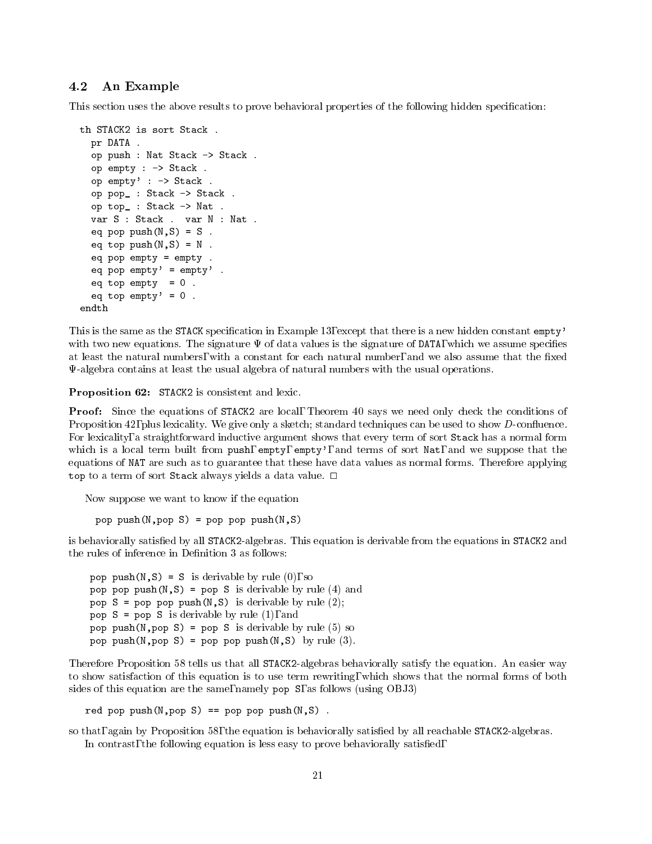#### 4.2 An Example

This section uses the above results to prove behavioral properties of the following hidden specification:

```
th STACK2 is sort Stack .
 pr DATA .
  op push : Nat Stack -> Stack .
  op empty : -> Stack .
  op empty' : -> Stack .
  op pop_ : Stack -> Stack .
  op top_ : Stack -> Nat .
  var S : Stack . var N : Nat .
  eq pop push(N,S) = S.
  eq top push(N,S) = N.
  eq pop empty = empty .
  eq pop empty' = empty' .
  eq top empty = 0.
  eq top empty' = 0.
endth
```
This is the same as the STACK specification in Example 13, except that there is a new hidden constant empty' with two new equations. The signature  $\Psi$  of data values is the signature of DATA, which we assume specifies at least the natural numbers, with a constant for each natural number, and we also assume that the fixed -algebra contains at least the usual algebra of natural numbers with the usual operations.

Proposition 62: STACK2 is consistent and lexic.

Proof: Since the equations of STACK2 are local, Theorem 40 says we need only check the conditions of Proposition 42, plus lexicality. We give only a sketch; standard techniques can be used to show D-confluence. For lexicality, a straightforward inductive argument shows that every term of sort Stack has a normal form which is a local term built from push, empty, empty', and terms of sort Nat, and we suppose that the equations of NAT are such as to guarantee that these have data values as normal forms. Therefore applying top to a term of sort Stack always yields a data value.  $\Box$ 

Now suppose we want to know if the equation

```
pop push(N,pop S) = pop pop push(N,S)
```
is behaviorally satisfied by all STACK2-algebras. This equation is derivable from the equations in STACK2 and the rules of inference in Definition 3 as follows:

```
pop push(N, S) = S is derivable by rule (0), so
pop pop push(N,S) = pop S is derivable by rule (4) and
pop S = pop pop push(N, S) is derivable by rule (2);
pop S = pop S is derivable by rule (1), and
pop push(N,pop S) = pop S is derivable by rule (5) so
pop push(N, pop S) = pop pop push(N, S) by rule (3).
```
Therefore Proposition 58 tells us that all STACK2-algebras behaviorally satisfy the equation. An easier way to show satisfaction of this equation is to use term rewriting, which shows that the normal forms of both sides of this equation are the same, namely pop S, as follows (using OBJ3)

red pop  $push(N, pop S) == pop pop push(N, S)$ .

so that, again by Proposition 58, the equation is behaviorally satisfied by all reachable STACK2-algebras. In contrast, the following equation is less easy to prove behaviorally satisfied,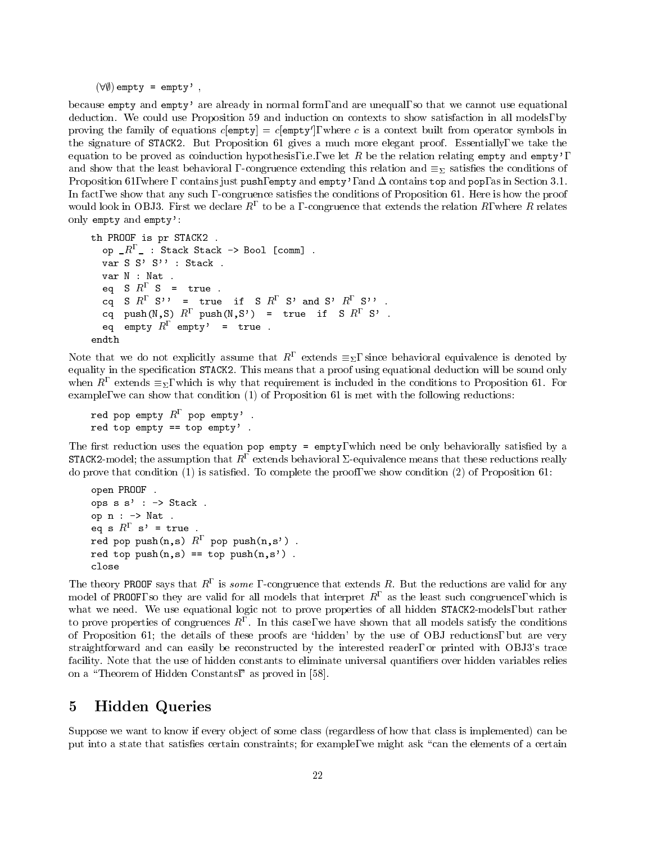$(\forall \emptyset)$  empty = empty',

because empty and empty' are already in normal form, and are unequal, so that we cannot use equational deduction. We could use Proposition 59 and induction on contexts to show satisfaction in all models, by proving the family of equations  $c[empty] = c[empty]$ , where c is a context built from operator symbols in the signature of STACK2. But Proposition 61 gives a much more elegant proof. Essentially, we take the equation to be proved as coinduction hypothesis, i.e., we let R be the relation relating empty and empty'. and show that the least behavioral, -congruence extending this relation and  $\equiv_{\Sigma}$  satisfies the conditions of Proposition 61, where, contains just push, empty and empty', and  $\Delta$  contains top and pop, as in Section 3.1. In fact, we show that any such, -congruence satisfies the conditions of Proposition 61. Here is how the proof would look in OBJ3. First we declare  $R^+$  to be a , -congruence that extends the relation  $R$ , where  $R$  relates only empty and empty':

```
th PROOF is pr STACK2 .
  op R^{\Gamma} : Stack Stack -> Bool [comm] .
  var S S' S'' : Stack .
  var N : Nat .
  eq S R^{\Gamma} S = true.
  cq S R^{\Gamma} S'' = true if S R^{\Gamma} S' and S' R^{\Gamma} S''.
  cq push(N,S) R^{\Gamma} push(N,S') = true if S R^{\Gamma} S'.
  eq empty R^{\Gamma} empty' = true .
endth
```
Note that we do not explicitly assume that  $K^-$  extends  $\pm_\Sigma,$  since behavioral equivalence is denoted by equality in the specification STACK2. This means that a proof using equational deduction will be sound only when  $K^-$  extends  $\equiv_\Sigma,$  which is why that requirement is included in the conditions to Proposition 61. For example, we can show that condition (1) of Proposition 61 is met with the following reductions:

```
red pop empty R^{\Gamma} pop empty' .
red top empty == top empty' .
```
The first reduction uses the equation pop  $empty = empty$ , which need be only behaviorally satisfied by a  $S$ TRUNZ-model; the assumption that  $R^+$  extends behavioral  $\vartriangle$ -equivalence means that these reductions really do prove that condition  $(1)$  is satisfied. To complete the proof, we show condition  $(2)$  of Proposition 61:

```
open PROOF .
ops s s' : -> Stack .
op n : -> Nat.eq s R^{\Gamma} s' = true.
red pop push(n,s) R^{\Gamma} pop push(n,s').
red top push(n,s) == top push(n,s').
close
```
The theory PROOF says that  $R_{\perp}$  is *some*, -congruence that extends  $R_{\perp}$  but the reductions are valid for any model of PROOF, so they are valid for all models that interpret  $R^{\Gamma}$  as the least such congruence, which is what we need. We use equational logic not to prove properties of all hidden STACK2-models, but rather to prove properties of congruences  $K^+$ . In this case, we have shown that all models satisfy the conditions of Proposition 61; the details of these proofs are `hidden' by the use of OBJ reductions, but are very straightforward and can easily be reconstructed by the interested reader, or printed with OBJ3's trace facility. Note that the use of hidden constants to eliminate universal quantifiers over hidden variables relies on a "Theorem of Hidden Constants," as proved in [58].

#### 5 5 Hidden Queries

Suppose we want to know if every ob ject of some class (regardless of how that class is implemented) can be put into a state that satisfies certain constraints; for example, we might ask "can the elements of a certain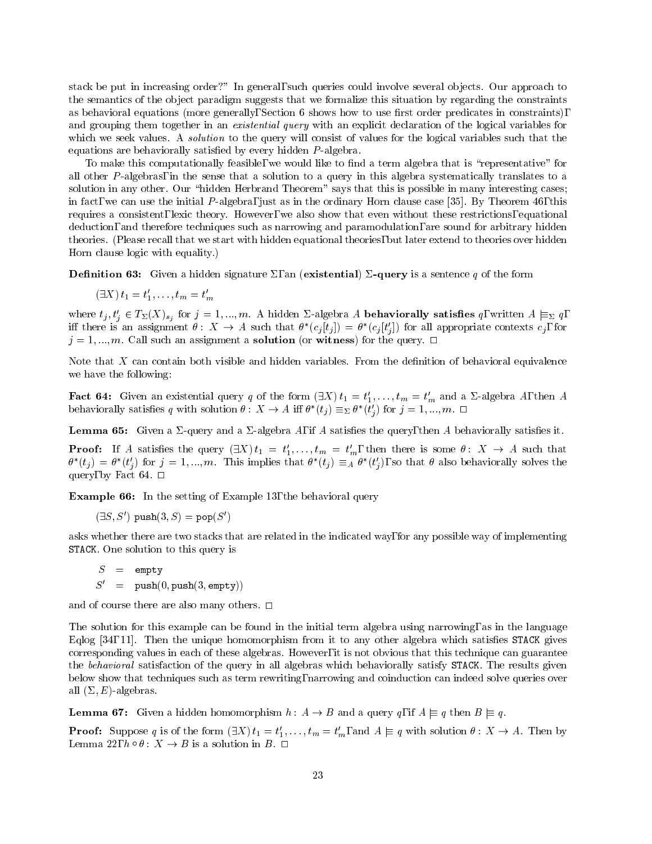stack be put in increasing order?" In general, such queries could involve several objects. Our approach to the semantics of the ob ject paradigm suggests that we formalize this situation by regarding the constraints as behavioral equations (more generally, Section 6 shows how to use first order predicates in constraints), and grouping them together in an *existential query* with an explicit declaration of the logical variables for which we seek values. A *solution* to the query will consist of values for the logical variables such that the equations are behaviorally satisfied by every hidden  $P$ -algebra.

To make this computationally feasible, we would like to find a term algebra that is "representative" for all other P -algebras, in the sense that a solution to a query in this algebra systematically translates to a solution in any other. Our "hidden Herbrand Theorem" says that this is possible in many interesting cases; in fact, we can use the initial P -algebra, just as in the ordinary Horn clause case [35]. By Theorem 46, this requires a consistent, lexic theory. However, we also show that even without these restrictions, equational deduction, and therefore techniques such as narrowing and paramodulation, are sound for arbitrary hidden theories. (Please recall that we start with hidden equational theories, but later extend to theories over hidden Horn clause logic with equality.)

**Definition 63:** Given a hidden signature  $\Sigma$ , an (existential)  $\Sigma$ -query is a sentence q of the form

$$
(\exists X)\, t_1=t_1',\ldots,t_m=t_m'
$$

where  $t_j, t'_j \in T_\Sigma(X)_{s_j}$  for  $j = 1, ..., m$ . A hidden  $\Sigma$ -algebra A **behaviorally satisfies** q, written  $A \models_{\Sigma} q$ , in there is an assignment  $\sigma: \Lambda \to A$  such that  $\sigma|(c_j|t_j|) = \sigma|(c_j|t_j|)$  for an appropriate contexts  $c_j$ , for  $j = 1, ..., m$ . Call such an assignment a **solution** (or **witness**) for the query.  $\Box$ 

Note that  $X$  can contain both visible and hidden variables. From the definition of behavioral equivalence we have the following:

**Fact 64:** Given an existential query q of the form  $(3\lambda) t_1 = t_1, \ldots, t_m = t_m$  and a 2-algebra A, then A behaviorally satisfies q with solution  $\sigma: \Lambda \to A$  in  $\sigma$   $(\iota_j) =_{\Sigma} \sigma$   $(\iota_j)$  for  $j = 1, ..., m$ .  $\Box$ 

**Lemma 65:** Given a  $\Sigma$ -query and a  $\Sigma$ -algebra A, if A satisfies the query, then A behaviorally satisfies it.

**Proof:** If A satisfies the query  $( \exists \Lambda) t_1 = t_1, \ldots, t_m = t_m$ , then there is some  $\sigma : \Lambda \to A$  such that  $\sigma$   $(t_j)$  =  $\sigma$   $(t_j)$  for  $j = 1,...,m$ . This implies that  $\sigma$   $(t_j)$  =  $_A$   $\sigma$   $(t_j)$ , so that  $\sigma$  also behaviorally solves the query, by Fact 64.  $\Box$ 

Example 66: In the setting of Example 13, the behavioral query

$$
(\exists S, S') \text{ push}(3, S) = \text{pop}(S')
$$

asks whether there are two stacks that are related in the indicated way, for any possible way of implementing STACK. One solution to this query is

$$
S = \text{empty} S' = \text{push}(0, \text{push}(3, \text{empty}))
$$

and of course there are also many others.  $\Box$ 

The solution for this example can be found in the initial term algebra using narrowing, as in the language Eqlog  $[34, 11]$ . Then the unique homomorphism from it to any other algebra which satisfies STACK gives corresponding values in each of these algebras. However, it is not obvious that this technique can guarantee the behavioral satisfaction of the query in all algebras which behaviorally satisfy STACK. The results given below show that techniques such as term rewriting, narrowing and coinduction can indeed solve queries over all  $(\Sigma, E)$ -algebras.

**Lemma 67:** Given a hidden homomorphism  $h : A \rightarrow B$  and a query q, if  $A \equiv q$  then  $B \equiv q$ .

**Proof:** Suppose q is of the form  $(2\lambda) t_1 = t_1, \ldots, t_m = t_m$ , and  $A \models q$  with solution  $\sigma \colon A \to A$ . Then by Lemma 22,  $h \circ \theta: X \to B$  is a solution in B.  $\Box$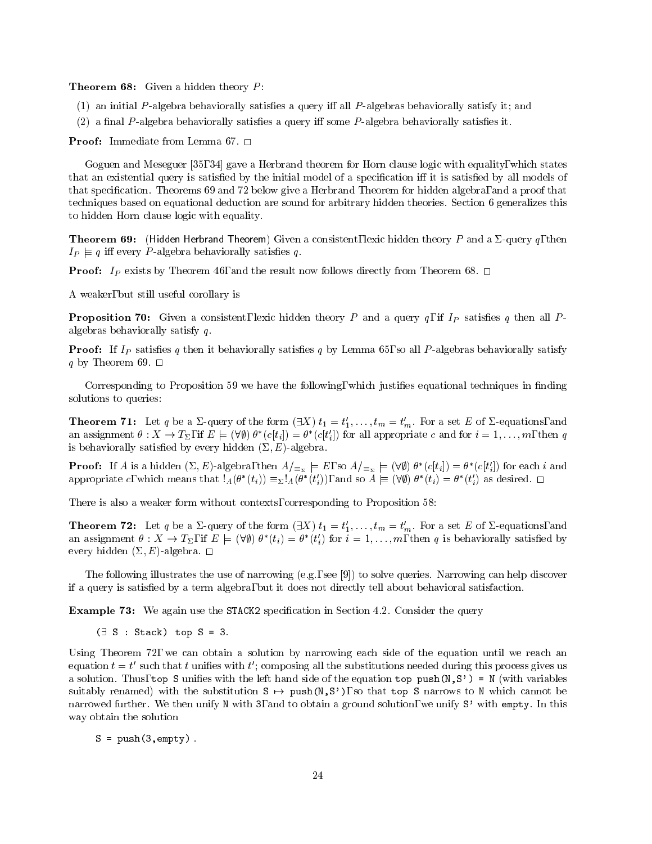**Theorem 68:** Given a hidden theory  $P$ :

- $(1)$  an initial P-algebra behaviorally satisfies a query iff all P-algebras behaviorally satisfy it; and
- $(2)$  a final P-algebra behaviorally satisfies a query iff some P-algebra behaviorally satisfies it.

**Proof:** Immediate from Lemma 67.  $\Box$ 

Goguen and Meseguer [35, 34] gave a Herbrand theorem for Horn clause logic with equality, which states that an existential query is satisfied by the initial model of a specification iff it is satisfied by all models of that specication. Theorems 69 and 72 below give a Herbrand Theorem for hidden algebra, and a proof that techniques based on equational deduction are sound for arbitrary hidden theories. Section 6 generalizes this to hidden Horn clause logic with equality.

**Theorem 69:** (Hidden Herbrand Theorem) Given a consistent, lexic hidden theory P and a  $\Sigma$ -query q, then  $I_P \equiv q$  iff every P-algebra behaviorally satisfies q.

**Proof:**  $I_P$  exists by Theorem 46, and the result now follows directly from Theorem 68.  $\Box$ 

A weaker, but still useful corollary is

**Proposition 70:** Given a consistent, lexic hidden theory P and a query q, if  $I_P$  satisfies q then all Palgebras behaviorally satisfy q.

**Proof:** If  $I_P$  satisfies q then it behaviorally satisfies q by Lemma 65, so all P-algebras behaviorally satisfy q by Theorem 69.  $\Box$ 

Corresponding to Proposition 59 we have the following, which justifies equational techniques in finding solutions to queries:

**Theorem 71:** Let q be a 2-query of the form  $(\exists \lambda)$   $t_1 = t_1, \ldots, t_m = t_m$ . For a set E of 2-equations, and an assignment  $v: A \to I_{\Sigma}$ , if  $E \models (\forall v) \ v \ (c[t_i]) = v \ (c[t_i])$  for all appropriate c and for  $i = 1, \ldots, m$ , then q is behaviorally satisfied by every hidden  $(\Sigma, E)$ -algebra.

**Proof:** If A is a midden  $(L, E)$ -algebra, then  $A/\equiv_{\Sigma} \models E$ , so  $A/\equiv_{\Sigma} \models (V\psi) \theta$   $(c[t_i]) = \theta$   $(c[t_i])$  for each vanid appropriate c, which means that  $A(\sigma_-(t_i)) = \Sigma^T A(\sigma_-(t_i))$ , and so  $A \models (\forall \Psi) \sigma_-(t_i) = \sigma_-(t_i)$  as desired.  $\Box$ 

There is also a weaker form without contexts, corresponding to Proposition 58:

**Theorem 72:** Let q be a 2-query of the form  $(\exists \lambda)$   $t_1 = t_1, \ldots, t_m = t_m$ . For a set E of 2-equations, and an assignment  $\sigma: \Lambda \to I_{\Sigma}$ , if  $E \models (\forall \psi) \sigma (t_i) \equiv \sigma (t_i)$  for  $i = 1, \ldots, m$ , then q is behaviorally satisfied by every hidden  $(\Sigma, E)$ -algebra.  $\square$ 

The following illustrates the use of narrowing (e.g., see [9]) to solve queries. Narrowing can help discover if a query is satised by a term algebra, but it does not directly tell about behavioral satisfaction.

**Example 73:** We again use the STACK2 specification in Section 4.2. Consider the query

 $(\exists S : Stack)$  top  $S = 3$ .

Using Theorem 72, we can obtain a solution by narrowing each side of the equation until we reach an equation  $t = t$  such that t unifies with t; composing all the substitutions needed during this process gives us a solution. Thus, top S unifies with the left hand side of the equation top push(N,S') = N (with variables suitably renamed) with the substitution  $S \mapsto \text{push}(N,S')$ , so that top S narrows to N which cannot be narrowed further. We then unify N with 3, and to obtain a ground solution, we unify S' with empty. In this way obtain the solution

 $S = push(3, empty)$ .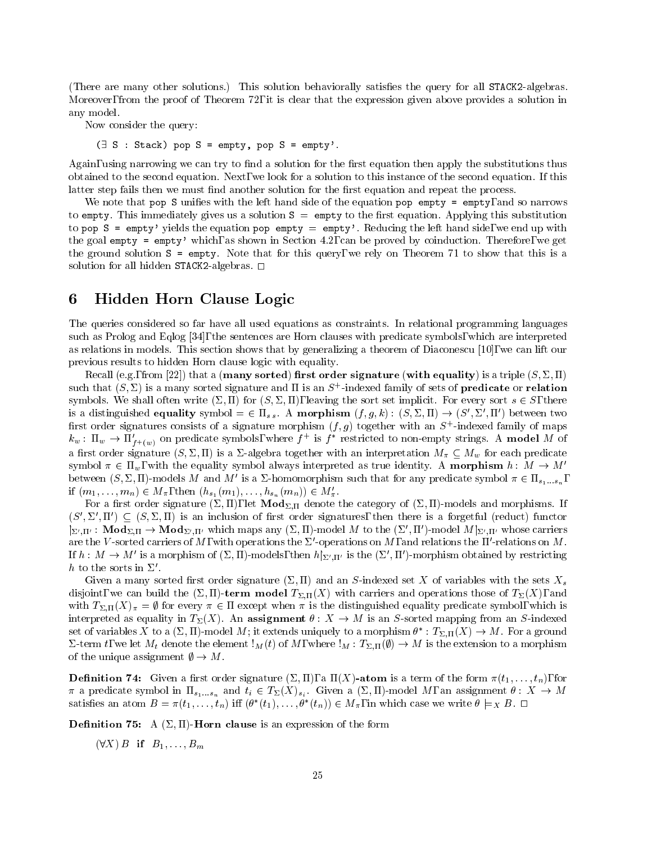(There are many other solutions.) This solution behaviorally satisfies the query for all STACK2-algebras. Moreover, from the proof of Theorem 72, it is clear that the expression given above provides a solution in any model.

Now consider the query:

 $(\exists S : \text{Stack})$  pop  $S = \text{empty}$ , pop  $S = \text{empty}'$ .

Again, using narrowing we can try to find a solution for the first equation then apply the substitutions thus obtained to the second equation. Next, we look for a solution to this instance of the second equation. If this latter step fails then we must find another solution for the first equation and repeat the process.

We note that pop S unifies with the left hand side of the equation pop empty = empty, and so narrows to empty. This immediately gives us a solution  $S = \text{empty to the first equation}$ . Applying this substitution to pop  $S = \text{empty}'$  yields the equation pop  $\text{empty} = \text{empty}'$ . Reducing the left hand side, we end up with the goal empty = empty' which, as shown in Section 4.2, can be proved by coinduction. Therefore, we get the ground solution  $S = \text{empty}$ . Note that for this query, we rely on Theorem 71 to show that this is a solution for all hidden STACK2-algebras.  $\Box$ 

## 6 Hidden Horn Clause Logic

The queries considered so far have all used equations as constraints. In relational programming languages such as Prolog and Eqlog [34], the sentences are Horn clauses with predicate symbols, which are interpreted as relations in models. This section shows that by generalizing a theorem of Diaconescu [10], we can lift our previous results to hidden Horn clause logic with equality.

Recall (e.g., from [22]) that a (**many sorted) first order signature (with equality**) is a triple  $(S, \Sigma, \Pi)$ such that  $(S, \vartriangle)$  is a many sorted signature and 11 is an  $S$  -indexed family of sets of **predicate** or **relation** symbols. We shall often write  $(\Sigma, \Pi)$  for  $(S, \Sigma, \Pi)$ , leaving the sort set implicit. For every sort  $s \in S$ , there is a distinguished **equality** symbol  $= \in \Pi_{ss}$ . A **morphism**  $(f, g, k)$  :  $(S, \Sigma, \Pi) \rightarrow (S', \Sigma', \Pi')$  between two  $\max$  order signatures consists of a signature morphism  $(f,g)$  together with an  $S$  -indexed family of maps  $k_w: \Pi_w \to \Pi_{f^+(w)}$  on predicate symbols, where f + is f = restricted to non-empty strings. A model M of a first order signature  $(S, \Sigma, \Pi)$  is a  $\Sigma$ -algebra together with an interpretation  $M_{\pi} \subseteq M_w$  for each predicate symbol  $\pi \in \Pi_w$ , with the equality symbol always interpreted as true identity. A **morphism**  $n$ : M  $\rightarrow$  M between  $(S, \Sigma, \Pi)$ -models M and M' is a  $\Sigma$ -homomorphism such that for any predicate symbol  $\pi \in \Pi_{s_1...s_n}$ , if  $(m_1,\ldots,m_n) \in M_\pi$ , then  $(h_{s_1}(m_1),\ldots,h_{s_n}(m_n)) \in M'_\pi$ .

For a first order signature  $(\Sigma, \Pi)$ , let  $\mathbf{Mod}_{\Sigma,\Pi}$  denote the category of  $(\Sigma, \Pi)$ -models and morphisms. If  $(S, \Sigma, \Pi) \subseteq (S, \Sigma, \Pi)$  is an inclusion of first order signatures, then there is a forgetful (reduct) functor  $\sum_{i=1}^{n}$  :  $\mathbf{Mod}_{\Sigma,\Pi} \to \mathbf{Mod}_{\Sigma',\Pi'}$  which maps any  $(\Sigma,\Pi)$ -model M to the  $(\Sigma',\Pi')$ -model  $M|_{\Sigma',\Pi'}$  whose carriers are the V-sorted carriers of M, with operations the  $\Sigma'$ -operations on M, and relations the  $\Pi'$ -relations on M.  $\mu$  h  $n: M \to M$  is a morphism of (2,  $\mu$ )-models, then  $n_{\Sigma',\Pi'}$  is the (2),  $\mu$  )-morphism obtained by restricting h to the sorts in  $\Sigma'$ .

Given a many sorted first order signature  $(\Sigma, \Pi)$  and an S-indexed set X of variables with the sets  $X_s$ disjoint, we can build the  $(\Sigma,\Pi)$ -term model  $T_{\Sigma,\Pi}(X)$  with carriers and operations those of  $T_{\Sigma}(X)$ , and with  $T_{\Sigma,\Pi}(X)_{\pi} = \emptyset$  for every  $\pi \in \Pi$  except when  $\pi$  is the distinguished equality predicate symbol, which is interpreted as equality in  $T_{\Sigma}(X)$ . An assignment  $\theta: X \to M$  is an S-sorted mapping from an S-indexed set of variables  $\Lambda$  to a (2, 11)-model  $M$ ; it extends uniquely to a morphism  $\sigma$  :  $I\Sigma,\Pi(\Lambda) \to M$  . For a ground  $\Sigma$ -term t, we let  $M_t$  denote the element  $!_M(t)$  of M, where  $!_M: T_{\Sigma,\Pi}(\emptyset) \to M$  is the extension to a morphism of the unique assignment  $\emptyset \to M$ .

**Definition 74:** Given a first order signature  $(\Sigma, \Pi)$ , a  $\Pi(X)$ -atom is a term of the form  $\pi(t_1, \ldots, t_n)$ , for a predicate symbol in straight  $s_n$  and time  $s$  ,  $\Delta \chi$  ,  $s_i$  . Given a ( $\pi$ ) for an assignment in  $\pi$  ,  $\chi$  and  $\chi$ satisfies an atom  $B = \pi(t_1, \ldots, t_n)$  in  $(\sigma_1(t_1), \ldots, \sigma_n(t_n)) \in M_\pi$ , in which case we write  $\sigma \models_X B$ .  $\Box$ 

**Definition 75:** A  $(\Sigma, \Pi)$ -**Horn clause** is an expression of the form

 $(\forall X) B$  if  $B_1,\ldots,B_m$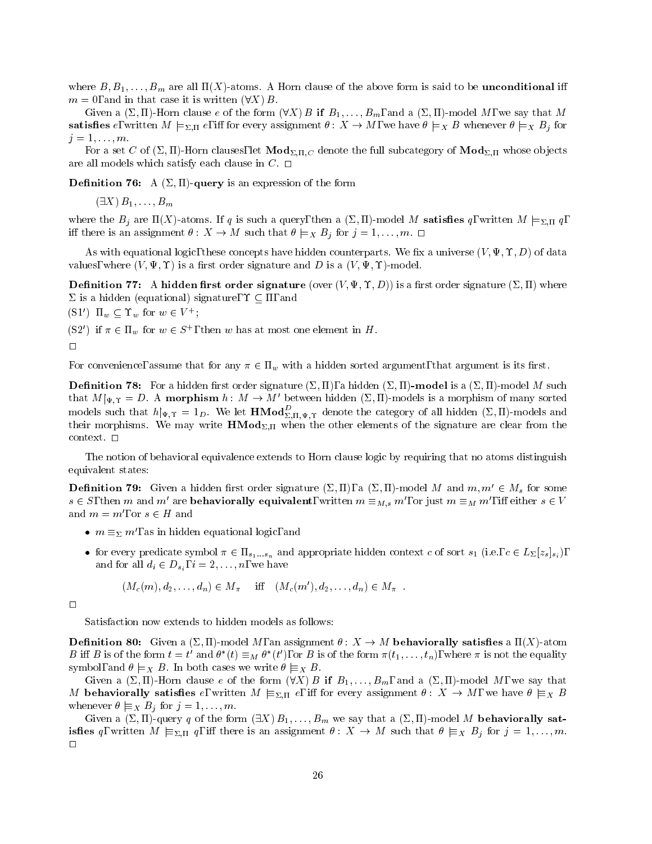where  $B, B_1, \ldots, B_m$  are all  $\Pi(X)$ -atoms. A Horn clause of the above form is said to be unconditional iff  $m = 0$ , and in that case it is written  $(\forall X)$  B.

Given a  $(\Sigma, \Pi)$ -Horn clause e of the form  $(\forall X)$  B if  $B_1, \ldots, B_m$ , and a  $(\Sigma, \Pi)$ -model M, we say that M satisfies e, written  $M \models_{\Sigma,\Pi} e$ , iff for every assignment  $\theta: X \to M$ , we have  $\theta \models_X B$  whenever  $\theta \models_X B_j$  for  $j=1,\ldots,m.$ 

For a set C of  $(\Sigma, \Pi)$ -Horn clauses, let  $\mathbf{Mod}_{\Sigma,\Pi,C}$  denote the full subcategory of  $\mathbf{Mod}_{\Sigma,\Pi}$  whose objects are all models which satisfy each clause in  $C$ .  $\Box$ 

**Definition 76:** A  $(\Sigma, \Pi)$ -query is an expression of the form

 $(\exists X) B_1,\ldots,B_m$ 

where the  $B_j$  are  $\Pi(X)$ -atoms. If q is such a query, then a  $(\Sigma, \Pi)$ -model M **satisfies** q, written  $M \models_{\Sigma,\Pi} q$ , iff there is an assignment  $\theta: X \to M$  such that  $\theta \models_X B_j$  for  $j = 1, \ldots, m$ .  $\Box$ 

As with equational logic, these concepts have hidden counterparts. We fix a universe  $(V, \Psi, \Upsilon, D)$  of data values, where  $(V, \Psi, \Upsilon)$  is a first order signature and D is a  $(V, \Psi, \Upsilon)$ -model.

**Definition 77:** A hidden first order signature (over  $(V, \Psi, \Upsilon, D)$ ) is a first order signature  $(\Sigma, \Pi)$  where  $\Sigma$  is a hidden (equational) signature,  $\Upsilon \subseteq \Pi$ , and

 $(51)$  H<sub>w</sub>  $\subseteq$  I<sub>w</sub> for  $w \in V$  ;

 $(52)$  if  $\pi \in \Pi_w$  for  $w \in S^+$ , then w has at most one element in  $H$ .

$$
\Box
$$

For convenience, assume that for any  $\pi \in \Pi_w$  with a hidden sorted argument, that argument is its first.

**Definition 78:** For a hidden first order signature  $(\Sigma, \Pi)$ , a hidden  $(\Sigma, \Pi)$ -model is a  $(\Sigma, \Pi)$ -model M such that  $M|\psi|_{\mathcal{X}} = D$ . A morphism  $h: M \to M'$  between hidden  $(\Sigma, \Pi)$ -models is a morphism of many sorted models such that  $h|\psi,\gamma|=1$  D. We let  ${\bf HMod}_{\Sigma,\Pi,\Psi,\gamma}$  denote the category of all hidden  $(\Sigma,{\rm H})$ -models and their morphisms. We may write  $HMod_{\Sigma,\Pi}$  when the other elements of the signature are clear from the

The notion of behavioral equivalence extends to Horn clause logic by requiring that no atoms distinguish equivalent states:

**Definition 79:** Given a hidden first order signature  $(\Sigma, \Pi)$ , a  $(\Sigma, \Pi)$ -model M and  $m, m' \in M_s$  for some  $s \in S$ , then m and m are **behaviorally equivalent**, written  $m \equiv_{M,s} m$  , or just  $m \equiv_M m$  , in either  $s \in V$ and  $m = m'$ , or  $s \in H$  and

- $m \equiv_{\Sigma} m'$ , as in hidden equational logic, and
- for every predicate symbol  $\pi \in \Pi_{s_1...s_n}$  and appropriate hidden context c of sort  $s_1$  (i.e.,  $c \in L_{\Sigma}[z_s]_{s_i}$ ), and for all  $d_i \in D_{s_i}$ ,  $i = 2,\ldots,n$ , we have

$$
(M_c(m), d_2, ..., d_n) \in M_{\pi}
$$
 iff  $(M_c(m'), d_2, ..., d_n) \in M_{\pi}$ .

Satisfaction now extends to hidden models as follows:

**Definition 80:** Given a  $(\Sigma, \Pi)$ -model M, an assignment  $\theta: X \to M$  behaviorally satisfies a  $\Pi(X)$ -atom  $D$  in  $D$  is of the form  $t = t$  and  $\sigma$   $(t) = M \sigma$   $(t)$ , or  $D$  is of the form  $\pi(t_1,\ldots,t_n)$ , where  $\pi$  is not the equality symbol, and  $\theta \models_X B$ . In both cases we write  $\theta \models_X B$ .

Given a  $(\Sigma,\Pi)$ -Horn clause e of the form  $(\forall X)$  B if  $B_1,\ldots,B_m$ , and a  $(\Sigma,\Pi)$ -model M, we say that M behaviorally satisfact in written M j; equipment is the swapper for every assignment  $\mathbb{R}^N$  assignment is  $\Box A$ where  $\alpha$  is a subset of  $\alpha$  is the internal form of  $j$  for  $j$  for  $i$  for  $i$  for  $i$  for  $i$  for  $i$ 

Given a  $(\Sigma, \Pi)$ -query q of the form  $(\exists X) B_1, \ldots, B_m$  we say that a  $(\Sigma, \Pi)$ -model M **behaviorally sat**is a graduate measure in  $\alpha$  is an assignment in a strong in the interval  $\alpha$  is an assignment in  $\alpha$  $\Box$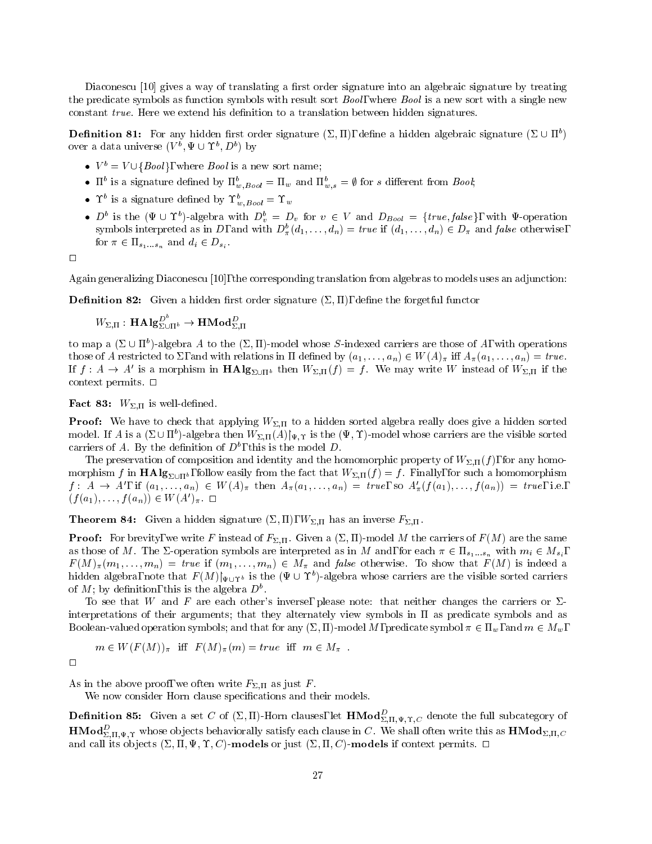Diaconescu [10] gives a way of translating a first order signature into an algebraic signature by treating the predicate symbols as function symbols with result sort *Bool*, where *Bool* is a new sort with a single new constant true. Here we extend his definition to a translation between hidden signatures.

**Definition 81:** For any hidden first order signature  $(\Sigma, \Pi)$ , define a hidden algebraic signature  $(\Sigma \cup \Pi^b)$ over a data universe ( $V$  ,  $\Psi \cup I$  ,  $D$  ) by

- $V^b = V \cup \{Bool\}$ , where *Bool* is a new sort name;
- If is a signature defined by  $\Pi_{w,Bool}^* = \Pi_{w}$  and  $\Pi_{w,s}^* = \emptyset$  for s different from *Boot*;
- **i** is a signature defined by  $\mathbf{F}_{w,Bool} = \mathbf{F}_{w}$
- D is the ( $\Psi \cup \Gamma$ )-algebra with  $D_v = D_v$  for  $v \in V$  and  $D_{Bool} = \{true, false\}$ , with  $\Psi$ -operation symbols interpreted as in D, and with  $D_{\pi}^{b}(d_1,\ldots,d_n) = true$  if  $(d_1,\ldots,d_n) \in D_{\pi}$  and false otherwise, for  $2^{n}$   $2^{n}$   $2^{n}$   $2^{n}$   $2^{n}$   $2^{n}$   $2^{n}$   $2^{n}$   $2^{n}$   $2^{n}$   $2^{n}$   $2^{n}$   $2^{n}$   $2^{n}$   $2^{n}$   $2^{n}$   $2^{n}$   $2^{n}$   $2^{n}$   $2^{n}$   $2^{n}$   $2^{n}$   $2^{n}$   $2^{n}$   $2^{n}$   $2^{n}$   $2^{n}$   $2^{n}$   $2^{n}$   $2^{n}$   $2^{n}$

 $\Box$ 

Again generalizing Diaconescu [10], the corresponding translation from algebras to models uses an adjunction:

**Definition 82:** Given a hidden first order signature  $(\Sigma, \Pi)$ , define the forgetful functor

 $W_{\Sigma,\Pi}$ :  $\textbf{HAlg}_{\Sigma\sqcup\Pi^b}^{D^b} \rightarrow \textbf{HMod}_{\Sigma,\Pi}^{D}$ ;

to map a  $(\Sigma \cup \Pi^b)$ -algebra A to the  $(\Sigma, \Pi)$ -model whose S-indexed carriers are those of A, with operations those of A restricted to  $\Sigma$ , and with relations in  $\Pi$  defined by  $(a_1,\ldots,a_n) \in W(A)_{\pi}$  iff  $A_{\pi}(a_1,\ldots,a_n) = true$ . If  $f : A \to A$  is a morphism in  $\mathbf{HAlg}_{\Sigma \cup \Pi}$  then  $W\Sigma,\Pi(f) \equiv f$  . We may write W instead of  $W\Sigma,\Pi$  if the context permits.  $\square$ 

**Fact 83:**  $W_{\Sigma,\Pi}$  is well-defined.

**Proof:** We have to check that applying  $W_{\Sigma,\Pi}$  to a hidden sorted algebra really does give a hidden sorted model. If A is a  $(\Sigma \cup \Pi^b)$ -algebra then  $W_{\Sigma,\Pi}(A)|_{\Psi,\Upsilon}$  is the  $(\Psi,\Upsilon)$ -model whose carriers are the visible sorted carriers of  $A$ . By the definition of  $D^*$ , this is the model  $D$ .

The preservation of composition and identity and the homomorphic property of  $W_{\Sigma,\Pi}(f)$ , for any homomorphism f in  $\textbf{HAlg}_{\Sigma\cup\Pi^b}$ , follow easily from the fact that  $W_{\Sigma,\Pi}(f) = f$ . Finally, for such a homomorphism  $f: A \to A$ , if  $(a_1,\ldots,a_n) \in W(A)_{\pi}$  then  $A_{\pi}(a_1,\ldots,a_n) = true$ , so  $A_{\pi}(f(a_1),\ldots,f(a_n)) = true$ , i.e.,  $(f(a_1),\ldots,f(a_n)) \in W(A')_{\pi}$ .  $\Box$ 

**Theorem 84:** Given a hidden signature  $(\Sigma, \Pi)$ ,  $W_{\Sigma,\Pi}$  has an inverse  $F_{\Sigma,\Pi}$ .

**Proof:** For brevity, we write F instead of  $F_{\Sigma,\Pi}$ . Given a  $(\Sigma,\Pi)$ -model M the carriers of  $F(M)$  are the same as those of M. The  $\Sigma$ -operation symbols are interpreted as in M and, for each  $\pi \in \Pi_{s_1...s_n}$  with  $m_i \in M_{s_i}$ ,  $F(M)_{\pi}(m_1,\ldots,m_n) = true$  if  $(m_1,\ldots,m_n) \in M_{\pi}$  and false otherwise. To show that  $F(M)$  is indeed a hidden algebra, note that  $F(M)|_{\Psi \cup \Upsilon^b}$  is the  $(\Psi \cup \Upsilon^b)$ -algebra whose carriers are the visible sorted carriers of  $M$ ; by definition, this is the algebra  $D$ .

To see that W and F are each other's inverse, please note: that neither changes the carriers or  $\Sigma$ interpretations of their arguments; that they alternately view symbols in  $\Pi$  as predicate symbols and as Boolean-valued operation symbols; and that for any  $(\Sigma, \Pi)$ -model M, predicate symbol  $\pi \in \Pi_w$ , and  $m \in M_w$ ,

$$
m \in W(F(M))_{\pi}
$$
 iff  $F(M)_{\pi}(m) = true$  iff  $m \in M_{\pi}$ .

 $\Box$ 

As in the above proof, we often write  $F_{\Sigma,\Pi}$  as just F.

We now consider Horn clause specifications and their models.

**Definition 85:** Given a set C of  $(\Sigma, \Pi)$ -Horn clauses, let  $HMod_{\Sigma,\Pi,\Psi,\Upsilon,C}$  denote the full subcategory of HIMO $\mathbf{d}_{\Sigma,\Pi,\Psi,\Upsilon}$  whose objects behaviorally satisfy each clause in  $C$  . We shall often write this as HMO $\mathbf{d}_{\Sigma,\Pi,C}$ and call its objects  $(\Sigma, \Pi, \Psi, \Upsilon, C)$ -models or just  $(\Sigma, \Pi, C)$ -models if context permits.  $\Box$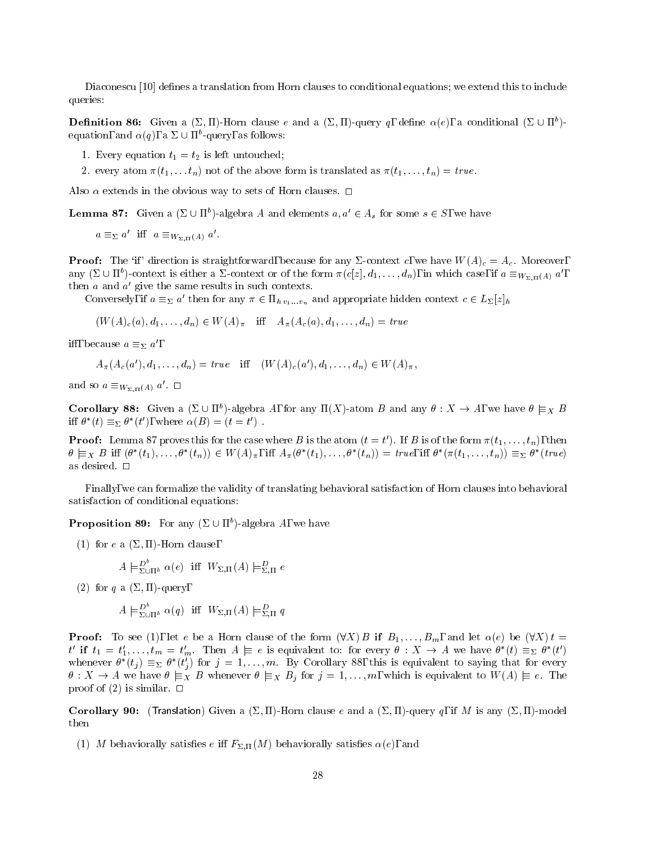Diaconescu [10] defines a translation from Horn clauses to conditional equations; we extend this to include queries:

**Definition 86:** Given a  $(\Sigma, \Pi)$ -Horn clause e and a  $(\Sigma, \Pi)$ -query q, define  $\alpha(e)$ , a conditional  $(\Sigma \cup \Pi^b)$ equation, and  $\alpha(q)$ , a  $\geq$   $\cup$   $\pi$ -query, as follows:

1. Every equation  $t_1 = t_2$  is left untouched;

2. every atom  $\pi(t_1,\ldots,t_n)$  not of the above form is translated as  $\pi(t_1,\ldots,t_n) = true$ .

Also  $\alpha$  extends in the obvious way to sets of Horn clauses.  $\Box$ 

**Lemma 87:** Given a  $(\Sigma \cup \Pi^b)$ -algebra A and elements  $a, a' \in A_s$  for some  $s \in S$ , we have

 $a \equiv_{\Sigma} a$  in  $a \equiv_{W_{\Sigma,\Pi}(A)} a$ .

**Proof:** The 'if' direction is straightforward, because for any  $\Sigma$ -context c, we have  $W(A)_c = A_c$ . Moreover, any  $(\Sigma \cup \Pi^b)$ -context is either a  $\Sigma$ -context or of the form  $\pi(c[z], d_1, \ldots, d_n)$ , in which case, if  $a \equiv_{W_{\Sigma,\Pi}(A)} a'$ , then  $a$  and  $a'$  give the same results in such contexts.

Conversely, if  $a \equiv_{\Sigma} a'$  then for any  $\pi \in \Pi_{h v_1 ... v_n}$  and appropriate hidden context  $c \in L_{\Sigma}[z]_h$ 

$$
(W(A)_c(a), d_1, \ldots, d_n) \in W(A)_{\pi} \quad \text{iff} \quad A_{\pi}(A_c(a), d_1, \ldots, d_n) = true
$$

iff, because  $a \equiv_{\Sigma} a'$ ,

 $A_{\pi}(A_c(a), a_1, \ldots, a_n) = \text{true}$  in  $(W(A)_c(a), a_1, \ldots, a_n) \in W(A)_{\pi},$ 

and so  $a \equiv_{W_{\Sigma,\Pi}(A)} a'$ .  $\Box$ 

**Corollary 88:** Given a  $(\Sigma \cup \Pi^b)$ -algebra A, for any  $\Pi(X)$ -atom B and any  $\theta : X \to A$ , we have  $\theta \models_X B$ in  $\theta$  (t)  $\equiv_{\Sigma} \theta$  (t), where  $\alpha(B) = (t = t)$ .

**Proof:** Lemma 87 proves this for the case where B is the atom ( $t = t$ ). If B is of the form  $\pi(t_1,\ldots,t_n)$ , then  $\sigma \models_X D$  in  $(\sigma \ (t_1),\ldots,\sigma \ (t_n)) \in W(A)_{\pi}$ , in  $A_{\pi}(\sigma \ (t_1),\ldots,\sigma \ (t_n)) = true$ , in  $\sigma \ (\pi(t_1,\ldots,t_n)) = \Sigma \sigma \ (true)$ as desired.  $\square$ 

Finally, we can formalize the validity of translating behavioral satisfaction of Horn clauses into behavioral satisfaction of conditional equations:

**Proposition 89:** For any  $(\Sigma \cup \Pi^b)$ -algebra A, we have

(1) for e a  $(\Sigma, \Pi)$ -Horn clause,

$$
A \models_{\Sigma \cup \Pi^b}^{D^b} \alpha(e) \quad \text{iff} \quad W_{\Sigma,\Pi}(A) \models_{\Sigma,\Pi}^{D} e
$$

(2) for q a  $(\Sigma, \Pi)$ -query,

$$
A \models_{\Sigma \cup \Pi^b}^{D^o} \alpha(q)
$$
 iff  $W_{\Sigma,\Pi}(A) \models_{\Sigma,\Pi}^{D} q$ 

**Proof:** To see (1), let e be a Horn clause of the form  $(\forall X) B$  if  $B_1, \ldots, B_m$ , and let  $\alpha(e)$  be  $(\forall X) t =$  $t_1$  if  $t_1 = t_1, \ldots, t_m = t_m$ . Then  $A \models e$  is equivalent to: for every  $\sigma : A \rightarrow A$  we have  $\sigma$   $(t) = \sum \sigma(t)$ whenever  $\sigma$   $(t_j) = \sum \sigma$   $(t_j)$  for  $j = 1, \ldots, m$ . By Corollary 88, this is equivalent to saying that for every : X is a well-computed that whenever  $\alpha$  in the  $\alpha$  is the  $\alpha$  is equivalent to W(A) j e. The  $\alpha$ proof of (2) is similar.  $\square$ 

**Corollary 90:** (Translation) Given a  $(\Sigma, \Pi)$ -Horn clause e and a  $(\Sigma, \Pi)$ -query q, if M is any  $(\Sigma, \Pi)$ -model then

(1) M behaviorally satisfies e iff  $F_{\Sigma,\Pi}(M)$  behaviorally satisfies  $\alpha(e)$ , and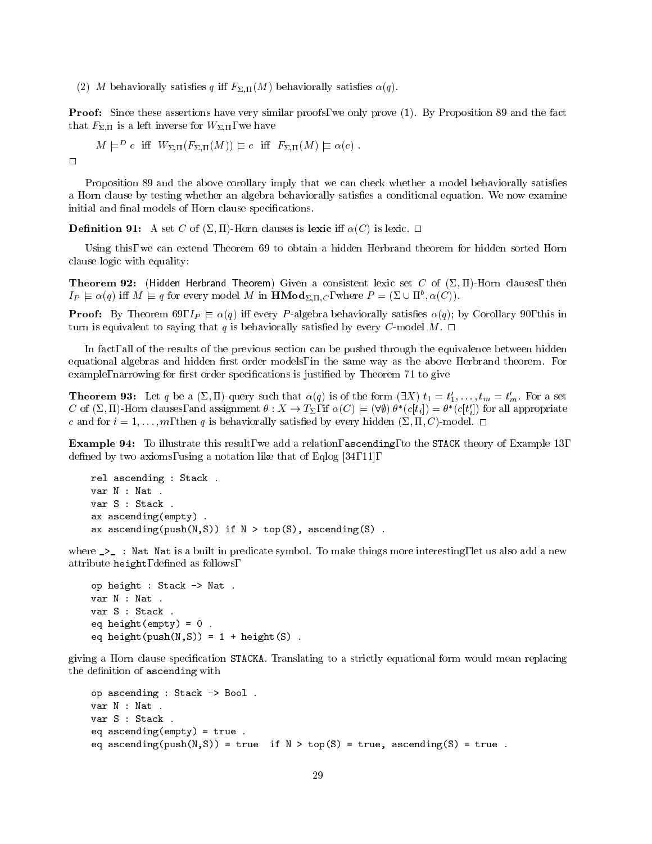(2) M behaviorally satisfies q iff  $F_{\Sigma,\Pi}(M)$  behaviorally satisfies  $\alpha(q)$ .

**Proof:** Since these assertions have very similar proofs, we only prove (1). By Proposition 89 and the fact that  $F_{\Sigma,\Pi}$  is a left inverse for  $W_{\Sigma,\Pi}$ , we have

$$
M \models^D e
$$
 iff  $W_{\Sigma,\Pi}(F_{\Sigma,\Pi}(M)) \models e$  iff  $F_{\Sigma,\Pi}(M) \models \alpha(e)$ .

 $\Box$ 

Proposition 89 and the above corollary imply that we can check whether a model behaviorally satisfies a Horn clause by testing whether an algebra behaviorally satisfies a conditional equation. We now examine initial and final models of Horn clause specifications.

**Definition 91:** A set C of  $(\Sigma, \Pi)$ -Horn clauses is lexic iff  $\alpha(C)$  is lexic.  $\square$ 

Using this, we can extend Theorem 69 to obtain a hidden Herbrand theorem for hidden sorted Horn clause logic with equality:

**Theorem 92:** (Hidden Herbrand Theorem) Given a consistent lexic set C of  $(\Sigma,\Pi)$ -Horn clauses, then  $IP \models \alpha(q)$  in  $M \models q$  for every model M in **HIMOd**,  $\Pi$ , where  $P = (\Delta \cup \Pi, \alpha(\cup))$ .

**Proof:** By Theorem 69,  $I_P \equiv \alpha(q)$  iff every P-algebra behaviorally satisfies  $\alpha(q)$ ; by Corollary 90, this in turn is equivalent to saying that q is behaviorally satisfied by every C-model  $M$ .  $\Box$ 

In fact, all of the results of the previous section can be pushed through the equivalence between hidden equational algebras and hidden first order models, in the same way as the above Herbrand theorem. For example, narrowing for first order specifications is justified by Theorem 71 to give

**Theorem 93:** Let q be a  $(2, 11)$ -query such that  $\alpha(q)$  is of the form  $(3\lambda)$   $t_1 \equiv t_1, \ldots, t_m \equiv t_m$ . For a set C or  $(2, 11)$ -Horn clauses, and assignment  $\theta : X \to T_\Sigma$ , if  $\alpha(\mathcal{C}) \models (\forall \emptyset) \ \theta \ \ (c[t_i]) = \theta \ \ (c[t_i])$  for all appropriate c and for  $i = 1, \ldots, m$ , then q is behaviorally satisfied by every hidden  $(\Sigma, \Pi, C)$ -model.  $\Box$ 

Example 94: To illustrate this result, we add a relation, ascending, to the STACK theory of Example 13, defined by two axioms, using a notation like that of Eqlog  $[34, 11]$ ,

```
rel ascending : Stack .
var N : Nat .
var S : Stack .
ax ascending(empty) .
ax ascending(push(N,S)) if N > top(S), ascending(S).
```
where  $\geq$  : Nat Nat is a built in predicate symbol. To make things more interesting, let us also add a new attribute height, defined as follows,

```
op height : Stack -> Nat .
var N : Nat .
var S : Stack .
eq height(empty) = 0 .
eq height(push(N, S)) = 1 + height(S).
```
giving a Horn clause specication STACKA. Translating to a strictly equational form would mean replacing the definition of ascending with

```
op ascending : Stack -> Bool .
var N : Nat .
var S : Stack .
eq ascending(empty) = true.
eq ascending(push(N,S)) = true if N > top(S) = true, ascending(S) = true.
```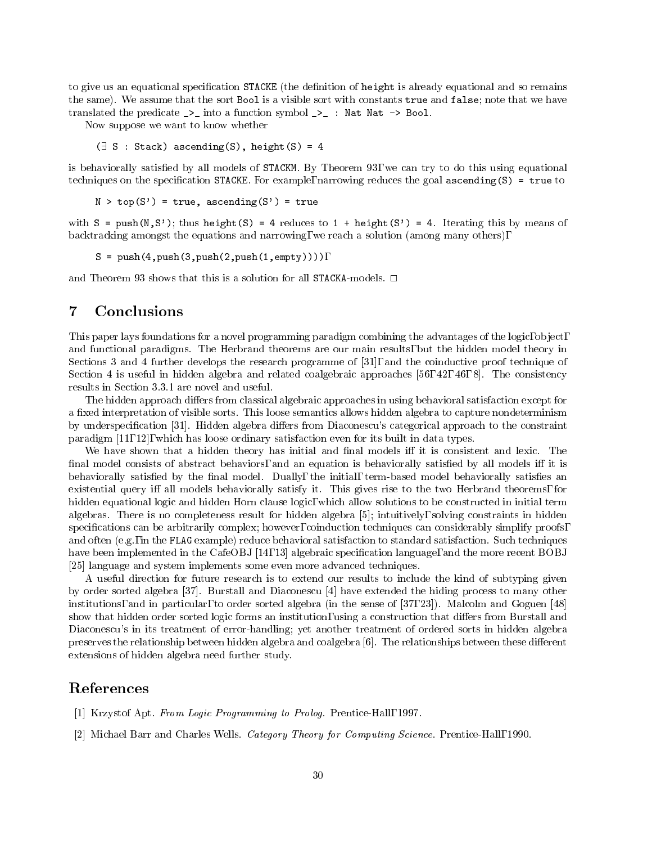to give us an equational specification STACKE (the definition of height is already equational and so remains the same). We assume that the sort Bool is a visible sort with constants true and false; note that we have translated the predicate \_>\_ into a function symbol \_>\_ : Nat Nat -> Bool.

Now suppose we want to know whether

 $(\exists S : Stack)$  ascending(S), height(S) = 4

is behaviorally satised by all models of STACKM. By Theorem 93, we can try to do this using equational techniques on the specification STACKE. For example, narrowing reduces the goal ascending(S) = true to

 $N > top(S') = true$ , ascending(S') = true

with  $S = push(N, S')$ ; thus height(S) = 4 reduces to 1 + height(S') = 4. Iterating this by means of backtracking amongst the equations and narrowing, we reach a solution (among many others),

 $S = push(4, push(3, push(2, push(1, empty))))$ ,

and Theorem 93 shows that this is a solution for all STACKA-models.  $\Box$ 

#### $\overline{7}$ **Conclusions**

This paper lays foundations for a novel programming paradigm combining the advantages of the logic, ob ject, and functional paradigms. The Herbrand theorems are our main results, but the hidden model theory in Sections 3 and 4 further develops the research programme of [31], and the coinductive proof technique of Section 4 is useful in hidden algebra and related coalgebraic approaches [56, 42, 46, 8]. The consistency results in Section 3.3.1 are novel and useful.

The hidden approach differs from classical algebraic approaches in using behavioral satisfaction except for a fixed interpretation of visible sorts. This loose semantics allows hidden algebra to capture nondeterminism by underspecification [31]. Hidden algebra differs from Diaconescu's categorical approach to the constraint paradigm [11, 12], which has loose ordinary satisfaction even for its built in data types.

We have shown that a hidden theory has initial and final models iff it is consistent and lexic. The final model consists of abstract behaviors, and an equation is behaviorally satisfied by all models iff it is behaviorally satisfied by the final model. Dually, the initial, term-based model behaviorally satisfies an existential query iff all models behaviorally satisfy it. This gives rise to the two Herbrand theorems, for hidden equational logic and hidden Horn clause logic, which allow solutions to be constructed in initial term algebras. There is no completeness result for hidden algebra [5]; intuitively, solving constraints in hidden specifications can be arbitrarily complex; however, coinduction techniques can considerably simplify proofs, and often (e.g., in the FLAG example) reduce behavioral satisfaction to standard satisfaction. Such techniques have been implemented in the CafeOBJ [14, 13] algebraic specification language, and the more recent BOBJ [25] language and system implements some even more advanced techniques.

A useful direction for future research is to extend our results to include the kind of subtyping given by order sorted algebra [37]. Burstall and Diaconescu [4] have extended the hiding process to many other institutions, and in particular, to order sorted algebra (in the sense of [37, 23]). Malcolm and Goguen [48] show that hidden order sorted logic forms an institution, using a construction that differs from Burstall and Diaconescu's in its treatment of error-handling; yet another treatment of ordered sorts in hidden algebra preserves the relationship between hidden algebra and coalgebra [6]. The relationships between these different extensions of hidden algebra need further study.

## References

- [1] Krzystof Apt. From Logic Programming to Prolog. Prentice-Hall, 1997.
- [2] Michael Barr and Charles Wells. Category Theory for Computing Science. Prentice-Hall, 1990.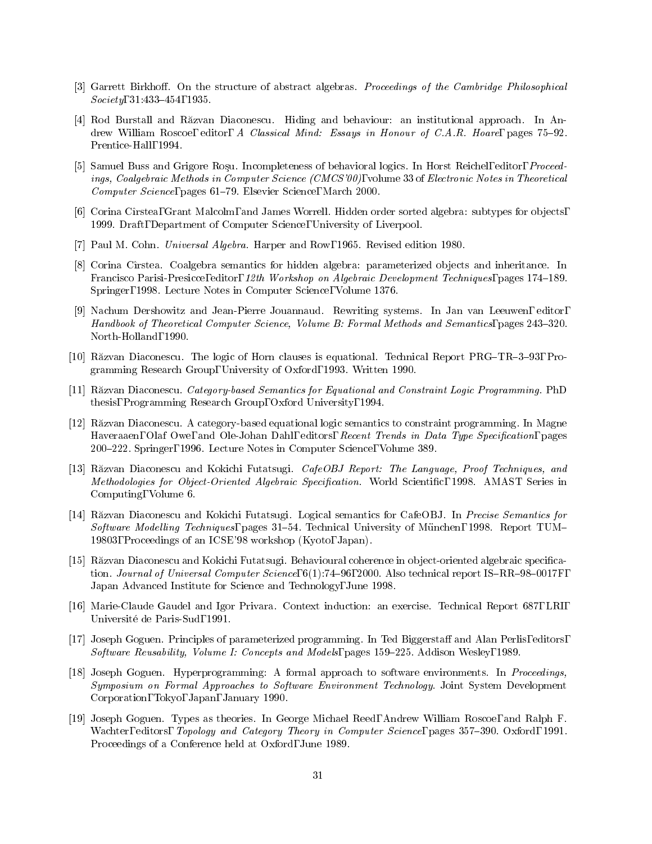- [3] Garrett Birkhoff. On the structure of abstract algebras. Proceedings of the Cambridge Philosophical  $Society, 31:433–454, 1935.$
- [4] Rod Burstall and Razvan Diaconescu. Hiding and behaviour: an institutional approach. In Andrew William Roscoe, editor, A Classical Mind: Essays in Honour of C.A.R. Hoare, pages  $75{-}92$ . Prentice-Hall, 1994.
- [5] Samuel Buss and Grigore Rosu. Incompleteness of behavioral logics. In Horst Reichel, editor, Proceedings, Coalgebraic Methods in Computer Science (CMCS'00), volume 33 of Electronic Notes in Theoretical Computer Science, pages 61-79. Elsevier Science, March 2000.
- [6] Corina Cîrstea, Grant Malcolm, and James Worrell. Hidden order sorted algebra: subtypes for objects, 1999. Draft, Department of Computer Science, University of Liverpool.
- [7] Paul M. Cohn. Universal Algebra. Harper and Row, 1965. Revised edition 1980.
- [8] Corina Cîrstea. Coalgebra semantics for hidden algebra: parameterized objects and inheritance. In Francisco Parisi-Presicce, editor, 12th Workshop on Algebraic Development Techniques, pages 174–189. Springer, 1998. Lecture Notes in Computer Science, Volume 1376.
- [9] Nachum Dershowitz and Jean-Pierre Jouannaud. Rewriting systems. In Jan van Leeuwen, editor, Handbook of Theoretical Computer Science, Volume B: Formal Methods and Semantics, pages 243–320. North-Holland, 1990.
- [10] Răzvan Diaconescu. The logic of Horn clauses is equational. Technical Report PRG-TR-3-93, Programming Research Group, University of Oxford, 1993. Written 1990.
- [11] Razvan Diaconescu. Category-based Semantics for Equational and Constraint Logic Programming. PhD thesis, Programming Research Group, Oxford University, 1994.
- [12] Razvan Diaconescu. A category-based equational logic semantics to constraint programming. In Magne Haveraaen, Olaf Owe, and Ole-Johan Dahl, editors, Recent Trends in Data Type Specification, pages 200{222. Springer, 1996. Lecture Notes in Computer Science, Volume 389.
- [13] Răzvan Diaconescu and Kokichi Futatsugi. CafeOBJ Report: The Language, Proof Techniques, and Methodologies for Object-Oriented Algebraic Specification. World Scientific, 1998. AMAST Series in Computing, Volume 6.
- [14] Razvan Diaconescu and Kokichi Futatsugi. Logical semantics for CafeOBJ. In Precise Semantics for Software Modelling Techniques, pages 31–54. Technical University of München, 1998. Report TUM 19803, Proceedings of an ICSE'98 workshop (Kyoto, Japan).
- [15] Răzvan Diaconescu and Kokichi Futatsugi. Behavioural coherence in object-oriented algebraic specification. Journal of Universal Computer Science,  $6(1)$ :74-96, 2000. Also technical report IS-RR-98-0017F, Japan Advanced Institute for Science and Technology, June 1998.
- [16] Marie-Claude Gaudel and Igor Privara. Context induction: an exercise. Technical Report 687, LRI, Universite de Paris-Sud, 1991.
- [17] Joseph Goguen. Principles of parameterized programming. In Ted Biggerstaff and Alan Perlis, editors, Software Reusability, Volume I: Concepts and Models, pages 159–225. Addison Wesley, 1989.
- [18] Joseph Goguen. Hyperprogramming: A formal approach to software environments. In Proceedings, Symposium on Formal Approaches to Software Environment Technology. Joint System Development Corporation, Tokyo, Japan, January 1990.
- [19] Joseph Goguen. Types as theories. In George Michael Reed, Andrew William Roscoe, and Ralph F. Wachter, editors, Topology and Category Theory in Computer Science, pages 357-390. Oxford, 1991. Proceedings of a Conference held at Oxford, June 1989.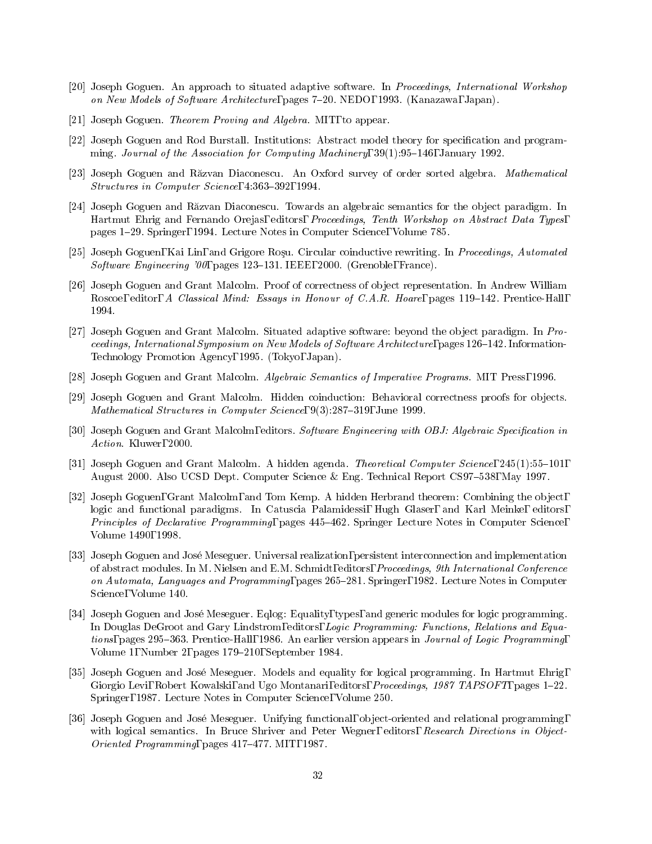- [20] Joseph Goguen. An approach to situated adaptive software. In Proceedings, International Workshop on New Models of Software Architecture, pages 7-20. NEDO, 1993. (Kanazawa, Japan).
- [21] Joseph Goguen. Theorem Proving and Algebra. MIT, to appear.
- [22] Joseph Goguen and Rod Burstall. Institutions: Abstract model theory for specification and programming. Journal of the Association for Computing Machinery,  $39(1):95{-}146$ , January 1992.
- [23] Joseph Goguen and Razvan Diaconescu. An Oxford survey of order sorted algebra. Mathematical Structures in Computer Science, 4:363-392, 1994.
- [24] Joseph Goguen and Răzvan Diaconescu. Towards an algebraic semantics for the object paradigm. In Hartmut Ehrig and Fernando Orejas, editors, Proceedings, Tenth Workshop on Abstract Data Types, pages 1{29. Springer, 1994. Lecture Notes in Computer Science, Volume 785.
- [25] Joseph Goguen, Kai Lin, and Grigore Rosu. Circular coinductive rewriting. In Proceedings, Automated Software Engineering '00, pages 123–131. IEEE, 2000. (Grenoble, France).
- [26] Joseph Goguen and Grant Malcolm. Proof of correctness of ob ject representation. In Andrew William Roscoe, editor, A Classical Mind: Essays in Honour of C.A.R. Hoare, pages 119-142. Prentice-Hall, 1994.
- [27] Joseph Goguen and Grant Malcolm. Situated adaptive software: beyond the object paradigm. In Proceedings, International Symposium on New Models of Software Architecture, pages 126-142. Information-Technology Promotion Agency, 1995. (Tokyo, Japan).
- [28] Joseph Goguen and Grant Malcolm. Algebraic Semantics of Imperative Programs. MIT Press, 1996.
- [29] Joseph Goguen and Grant Malcolm. Hidden coinduction: Behavioral correctness proofs for objects. Mathematical Structures in Computer Science, 9(3):287-319, June 1999.
- [30] Joseph Goguen and Grant Malcolm, editors. Software Engineering with OBJ: Algebraic Specification in Action. Kluwer, 2000.
- [31] Joseph Goguen and Grant Malcolm. A hidden agenda. *Theoretical Computer Science*, 245(1):55-101, August 2000. Also UCSD Dept. Computer Science & Eng. Technical Report CS97–538, May 1997.
- [32] Joseph Goguen, Grant Malcolm, and Tom Kemp. A hidden Herbrand theorem: Combining the ob ject, logic and functional paradigms. In Catuscia Palamidessi, Hugh Glaser, and Karl Meinke, editors, Principles of Declarative Programming, pages 445-462. Springer Lecture Notes in Computer Science, Volume 1490, 1998.
- [33] Joseph Goguen and Jose Meseguer. Universal realization, persistent interconnection and implementation of abstract modules. In M. Nielsen and E.M. Schmidt, editors, Proceedings, 9th International Conference on Automata, Languages and Programming, pages 265-281. Springer, 1982. Lecture Notes in Computer Science, Volume 140.
- [34] Joseph Goguen and Jose Meseguer. Eqlog: Equality, types, and generic modules for logic programming. In Douglas DeGroot and Gary Lindstrom, editors, Logic Programming: Functions, Relations and Equations, pages 295-363. Prentice-Hall, 1986. An earlier version appears in Journal of Logic Programming, Volume 1, Number 2, pages  $179-210$ , September 1984.
- [35] Joseph Goguen and Jose Meseguer. Models and equality for logical programming. In Hartmut Ehrig, Giorgio Levi, Robert Kowalski, and Ugo Montanari, editors, *Proceedings, 1987 TAPSOFT*, pages 1–22. Springer, 1987. Lecture Notes in Computer Science, Volume 250.
- [36] Joseph Goguen and Jose Meseguer. Unifying functional, ob ject-oriented and relational programming, with logical semantics. In Bruce Shriver and Peter Wegner, editors, Research Directions in Object- $Oriented$   $Programming$ , pages  $417–477$ . MIT, 1987.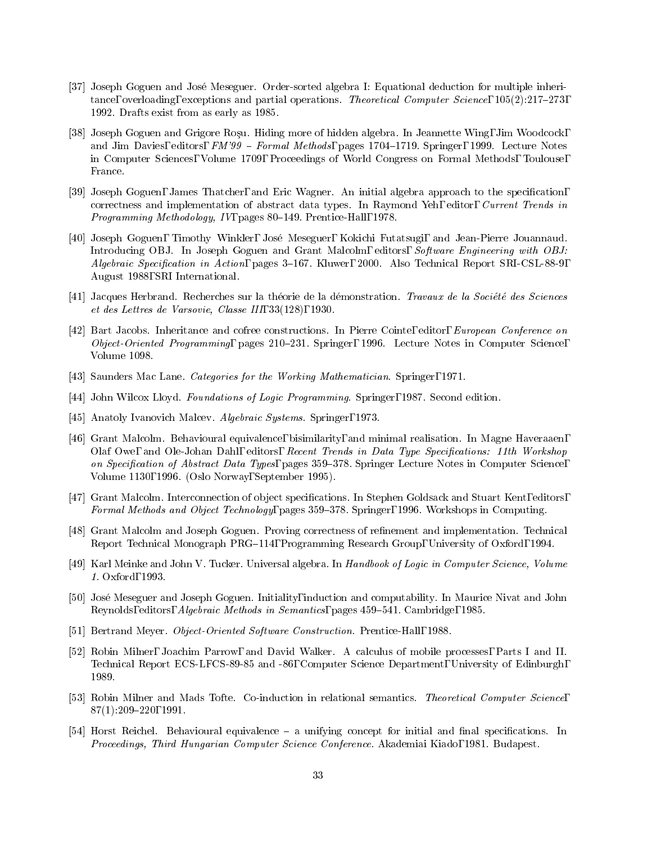- [37] Joseph Goguen and Jose Meseguer. Order-sorted algebra I: Equational deduction for multiple inheritance, overloading, exceptions and partial operations. Theoretical Computer Science,  $105(2):217{-}273$ , 1992. Drafts exist from as early as 1985.
- [38] Joseph Goguen and Grigore Rosu. Hiding more of hidden algebra. In Jeannette Wing, Jim Woodcock, and Jim Davies, editors,  $FM'99 - Formal Methods$ , pages 1704-1719. Springer, 1999. Lecture Notes in Computer Sciences, Volume 1709, Proceedings of World Congress on Formal Methods, Toulouse, France.
- [39] Joseph Goguen, James Thatcher, and Eric Wagner. An initial algebra approach to the specification, correctness and implementation of abstract data types. In Raymond Yeh, editor, Current Trends in Programming Methodology, IV, pages 80-149. Prentice-Hall, 1978.
- [40] Joseph Goguen, Timothy Winkler, Jose Meseguer, Kokichi Futatsugi, and Jean-Pierre Jouannaud. Introducing OBJ. In Joseph Goguen and Grant Malcolm, editors, Software Engineering with OBJ: Algebraic Specification in Action, pages 3-167. Kluwer, 2000. Also Technical Report SRI-CSL-88-9, August 1988, SRI International.
- [41] Jacques Herbrand. Recherches sur la théorie de la démonstration. Travaux de la Société des Sciences et des Lettres de Varsovie, Classe III, 33(128), 1930.
- [42] Bart Jacobs. Inheritance and cofree constructions. In Pierre Cointe, editor, European Conference on Object-Oriented Programming, pages 210-231. Springer, 1996. Lecture Notes in Computer Science, Volume 1098.
- [43] Saunders Mac Lane. Categories for the Working Mathematician. Springer, 1971.
- [44] John Wilcox Lloyd. Foundations of Logic Programming. Springer, 1987. Second edition.
- [45] Anatoly Ivanovich Malcev. Algebraic Systems. Springer, 1973.
- [46] Grant Malcolm. Behavioural equivalence, bisimilarity, and minimal realisation. In Magne Haveraaen, Olaf Owe, and Ole-Johan Dahl, editors, Recent Trends in Data Type Specications: 11th Workshop on Specification of Abstract Data Types, pages 359–378. Springer Lecture Notes in Computer Science, Volume 1130, 1996. (Oslo Norway, September 1995).
- [47] Grant Malcolm. Interconnection of object specifications. In Stephen Goldsack and Stuart Kent, editors, Formal Methods and Object Technology, pages 359–378. Springer, 1996. Workshops in Computing.
- [48] Grant Malcolm and Joseph Goguen. Proving correctness of refinement and implementation. Technical Report Technical Monograph PRG{114, Programming Research Group, University of Oxford, 1994.
- [49] Karl Meinke and John V. Tucker. Universal algebra. In Handbook of Logic in Computer Science, Volume 1. Oxford, 1993.
- [50] Jose Meseguer and Joseph Goguen. Initiality, induction and computability. In Maurice Nivat and John Reynolds, editors, *Algebraic Methods in Semantics*, pages 459-541. Cambridge, 1985.
- [51] Bertrand Meyer. Object-Oriented Software Construction. Prentice-Hall, 1988.
- [52] Robin Milner, Joachim Parrow, and David Walker. A calculus of mobile processes, Parts I and II. Technical Report ECS-LFCS-89-85 and -86, Computer Science Department, University of Edinburgh, 1989.
- [53] Robin Milner and Mads Tofte. Co-induction in relational semantics. Theoretical Computer Science,  $87(1):209-220, 1991.$
- [54] Horst Reichel. Behavioural equivalence a unifying concept for initial and final specifications. In Proceedings, Third Hungarian Computer Science Conference. Akademiai Kiado, 1981. Budapest.